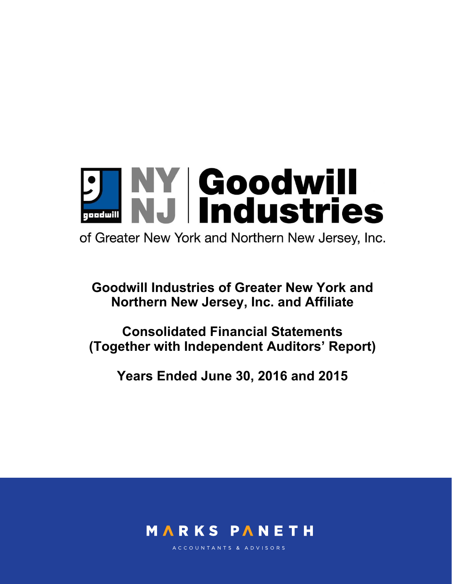**J NY Goodwill<br>MJ Industries** 

of Greater New York and Northern New Jersey, Inc.

**Goodwill Industries of Greater New York and Northern New Jersey, Inc. and Affiliate** 

**Consolidated Financial Statements (Together with Independent Auditors' Report)** 

**Years Ended June 30, 2016 and 2015** 



ACCOUNTANTS & ADVISORS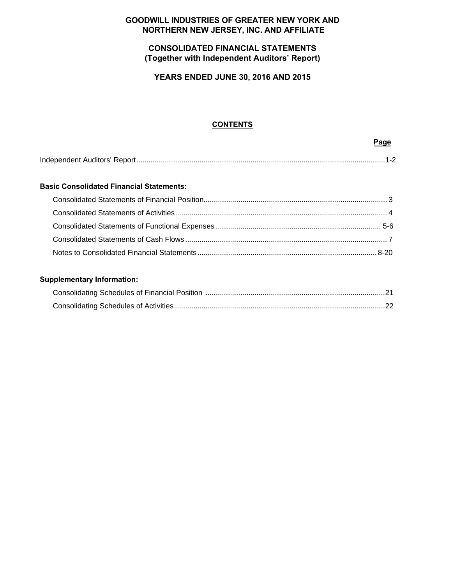## **GOODWILL INDUSTRIES OF GREATER NEW YORK AND NORTHERN NEW JERSEY, INC. AND AFFILIATE**

# **CONSOLIDATED FINANCIAL STATEMENTS (Together with Independent Auditors' Report)**

**YEARS ENDED JUNE 30, 2016 AND 2015** 

# **CONTENTS**

### **Page**

### **Basic Consolidated Financial Statements:**

### **Supplementary Information:**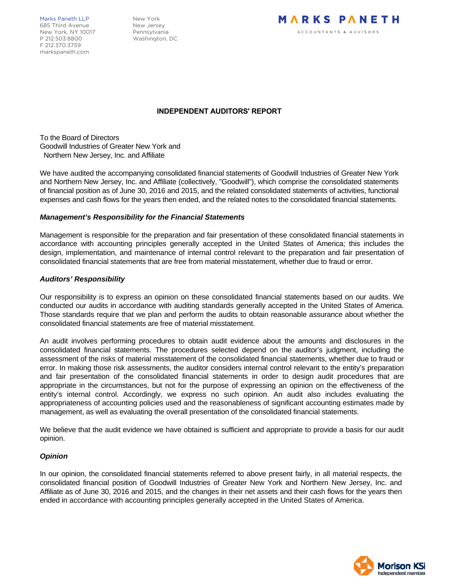Marks Paneth LLP New York 685 Third Avenue New Jersey New York, NY 10017 Pennsylvania P 212.503.8800 Washington, DC F 212.370.3759 markspaneth.com



### **INDEPENDENT AUDITORS' REPORT**

To the Board of Directors Goodwill Industries of Greater New York and Northern New Jersey, Inc. and Affiliate

We have audited the accompanying consolidated financial statements of Goodwill Industries of Greater New York and Northern New Jersey, Inc. and Affiliate (collectively, "Goodwill"), which comprise the consolidated statements of financial position as of June 30, 2016 and 2015, and the related consolidated statements of activities, functional expenses and cash flows for the years then ended, and the related notes to the consolidated financial statements.

#### *Management's Responsibility for the Financial Statements*

Management is responsible for the preparation and fair presentation of these consolidated financial statements in accordance with accounting principles generally accepted in the United States of America; this includes the design, implementation, and maintenance of internal control relevant to the preparation and fair presentation of consolidated financial statements that are free from material misstatement, whether due to fraud or error.

#### *Auditors' Responsibility*

Our responsibility is to express an opinion on these consolidated financial statements based on our audits. We conducted our audits in accordance with auditing standards generally accepted in the United States of America. Those standards require that we plan and perform the audits to obtain reasonable assurance about whether the consolidated financial statements are free of material misstatement.

An audit involves performing procedures to obtain audit evidence about the amounts and disclosures in the consolidated financial statements. The procedures selected depend on the auditor's judgment, including the assessment of the risks of material misstatement of the consolidated financial statements, whether due to fraud or error. In making those risk assessments, the auditor considers internal control relevant to the entity's preparation and fair presentation of the consolidated financial statements in order to design audit procedures that are appropriate in the circumstances, but not for the purpose of expressing an opinion on the effectiveness of the entity's internal control. Accordingly, we express no such opinion. An audit also includes evaluating the appropriateness of accounting policies used and the reasonableness of significant accounting estimates made by management, as well as evaluating the overall presentation of the consolidated financial statements.

We believe that the audit evidence we have obtained is sufficient and appropriate to provide a basis for our audit opinion.

#### *Opinion*

In our opinion, the consolidated financial statements referred to above present fairly, in all material respects, the consolidated financial position of Goodwill Industries of Greater New York and Northern New Jersey, Inc. and Affiliate as of June 30, 2016 and 2015, and the changes in their net assets and their cash flows for the years then ended in accordance with accounting principles generally accepted in the United States of America.

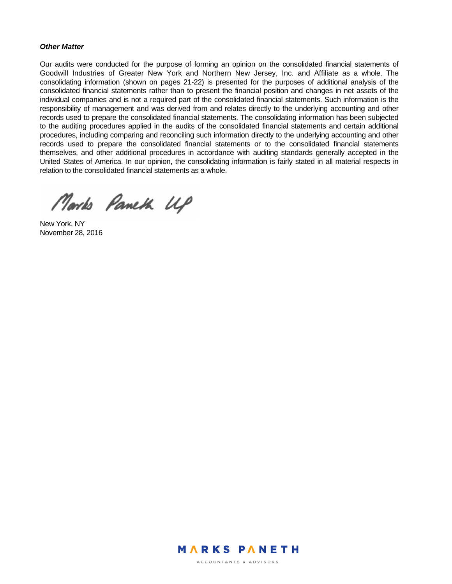#### *Other Matter*

Our audits were conducted for the purpose of forming an opinion on the consolidated financial statements of Goodwill Industries of Greater New York and Northern New Jersey, Inc. and Affiliate as a whole. The consolidating information (shown on pages 21-22) is presented for the purposes of additional analysis of the consolidated financial statements rather than to present the financial position and changes in net assets of the individual companies and is not a required part of the consolidated financial statements. Such information is the responsibility of management and was derived from and relates directly to the underlying accounting and other records used to prepare the consolidated financial statements. The consolidating information has been subjected to the auditing procedures applied in the audits of the consolidated financial statements and certain additional procedures, including comparing and reconciling such information directly to the underlying accounting and other records used to prepare the consolidated financial statements or to the consolidated financial statements themselves, and other additional procedures in accordance with auditing standards generally accepted in the United States of America. In our opinion, the consolidating information is fairly stated in all material respects in relation to the consolidated financial statements as a whole.

Marks Paneth UP

New York, NY November 28, 2016



ACCOUNTANTS & ADVISORS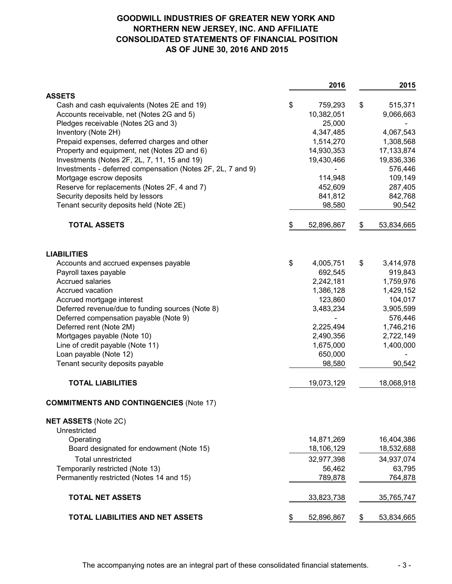# **GOODWILL INDUSTRIES OF GREATER NEW YORK AND NORTHERN NEW JERSEY, INC. AND AFFILIATE CONSOLIDATED STATEMENTS OF FINANCIAL POSITION AS OF JUNE 30, 2016 AND 2015**

| \$<br>\$<br>Cash and cash equivalents (Notes 2E and 19)<br>759,293<br>515,371<br>Accounts receivable, net (Notes 2G and 5)<br>10,382,051<br>9,066,663<br>Pledges receivable (Notes 2G and 3)<br>25,000<br>Inventory (Note 2H)<br>4,347,485<br>4,067,543<br>Prepaid expenses, deferred charges and other<br>1,514,270<br>1,308,568<br>17, 133, 874<br>Property and equipment, net (Notes 2D and 6)<br>14,930,353<br>19,430,466<br>19,836,336<br>Investments (Notes 2F, 2L, 7, 11, 15 and 19)<br>Investments - deferred compensation (Notes 2F, 2L, 7 and 9)<br>576,446<br>109,149<br>Mortgage escrow deposits<br>114,948<br>Reserve for replacements (Notes 2F, 4 and 7)<br>452,609<br>287,405<br>Security deposits held by lessors<br>841,812<br>842,768<br>Tenant security deposits held (Note 2E)<br>98,580<br>90,542<br>\$<br><b>TOTAL ASSETS</b><br>\$<br>53,834,665<br>52,896,867<br><b>LIABILITIES</b><br>\$<br>Accounts and accrued expenses payable<br>4,005,751<br>3,414,978<br>\$<br>919,843<br>Payroll taxes payable<br>692,545<br><b>Accrued salaries</b><br>2,242,181<br>1,759,976<br>1,386,128<br>1,429,152<br>Accrued vacation<br>104,017<br>Accrued mortgage interest<br>123,860<br>Deferred revenue/due to funding sources (Note 8)<br>3,483,234<br>3,905,599<br>Deferred compensation payable (Note 9)<br>576,446<br>Deferred rent (Note 2M)<br>2,225,494<br>1,746,216<br>Mortgages payable (Note 10)<br>2,490,356<br>2,722,149<br>Line of credit payable (Note 11)<br>1,400,000<br>1,675,000<br>Loan payable (Note 12)<br>650,000<br>Tenant security deposits payable<br>98,580<br>90,542<br><b>TOTAL LIABILITIES</b><br>18,068,918<br>19,073,129<br><b>COMMITMENTS AND CONTINGENCIES (Note 17)</b><br><b>NET ASSETS (Note 2C)</b><br>Unrestricted<br>Operating<br>14,871,269<br>16,404,386<br>Board designated for endowment (Note 15)<br>18,106,129<br>18,532,688<br><b>Total unrestricted</b><br>32,977,398<br>34,937,074<br>Temporarily restricted (Note 13)<br>63,795<br>56,462<br>Permanently restricted (Notes 14 and 15)<br>789,878<br>764,878<br><b>TOTAL NET ASSETS</b><br>33,823,738<br>35,765,747<br><b>TOTAL LIABILITIES AND NET ASSETS</b><br>52,896,867<br>$\frac{1}{2}$<br>53,834,665<br>\$ |               | 2016 |  | 2015 |
|--------------------------------------------------------------------------------------------------------------------------------------------------------------------------------------------------------------------------------------------------------------------------------------------------------------------------------------------------------------------------------------------------------------------------------------------------------------------------------------------------------------------------------------------------------------------------------------------------------------------------------------------------------------------------------------------------------------------------------------------------------------------------------------------------------------------------------------------------------------------------------------------------------------------------------------------------------------------------------------------------------------------------------------------------------------------------------------------------------------------------------------------------------------------------------------------------------------------------------------------------------------------------------------------------------------------------------------------------------------------------------------------------------------------------------------------------------------------------------------------------------------------------------------------------------------------------------------------------------------------------------------------------------------------------------------------------------------------------------------------------------------------------------------------------------------------------------------------------------------------------------------------------------------------------------------------------------------------------------------------------------------------------------------------------------------------------------------------------------------------------------------------------------------------------------------------------------------------------------|---------------|------|--|------|
|                                                                                                                                                                                                                                                                                                                                                                                                                                                                                                                                                                                                                                                                                                                                                                                                                                                                                                                                                                                                                                                                                                                                                                                                                                                                                                                                                                                                                                                                                                                                                                                                                                                                                                                                                                                                                                                                                                                                                                                                                                                                                                                                                                                                                                | <b>ASSETS</b> |      |  |      |
|                                                                                                                                                                                                                                                                                                                                                                                                                                                                                                                                                                                                                                                                                                                                                                                                                                                                                                                                                                                                                                                                                                                                                                                                                                                                                                                                                                                                                                                                                                                                                                                                                                                                                                                                                                                                                                                                                                                                                                                                                                                                                                                                                                                                                                |               |      |  |      |
|                                                                                                                                                                                                                                                                                                                                                                                                                                                                                                                                                                                                                                                                                                                                                                                                                                                                                                                                                                                                                                                                                                                                                                                                                                                                                                                                                                                                                                                                                                                                                                                                                                                                                                                                                                                                                                                                                                                                                                                                                                                                                                                                                                                                                                |               |      |  |      |
|                                                                                                                                                                                                                                                                                                                                                                                                                                                                                                                                                                                                                                                                                                                                                                                                                                                                                                                                                                                                                                                                                                                                                                                                                                                                                                                                                                                                                                                                                                                                                                                                                                                                                                                                                                                                                                                                                                                                                                                                                                                                                                                                                                                                                                |               |      |  |      |
|                                                                                                                                                                                                                                                                                                                                                                                                                                                                                                                                                                                                                                                                                                                                                                                                                                                                                                                                                                                                                                                                                                                                                                                                                                                                                                                                                                                                                                                                                                                                                                                                                                                                                                                                                                                                                                                                                                                                                                                                                                                                                                                                                                                                                                |               |      |  |      |
|                                                                                                                                                                                                                                                                                                                                                                                                                                                                                                                                                                                                                                                                                                                                                                                                                                                                                                                                                                                                                                                                                                                                                                                                                                                                                                                                                                                                                                                                                                                                                                                                                                                                                                                                                                                                                                                                                                                                                                                                                                                                                                                                                                                                                                |               |      |  |      |
|                                                                                                                                                                                                                                                                                                                                                                                                                                                                                                                                                                                                                                                                                                                                                                                                                                                                                                                                                                                                                                                                                                                                                                                                                                                                                                                                                                                                                                                                                                                                                                                                                                                                                                                                                                                                                                                                                                                                                                                                                                                                                                                                                                                                                                |               |      |  |      |
|                                                                                                                                                                                                                                                                                                                                                                                                                                                                                                                                                                                                                                                                                                                                                                                                                                                                                                                                                                                                                                                                                                                                                                                                                                                                                                                                                                                                                                                                                                                                                                                                                                                                                                                                                                                                                                                                                                                                                                                                                                                                                                                                                                                                                                |               |      |  |      |
|                                                                                                                                                                                                                                                                                                                                                                                                                                                                                                                                                                                                                                                                                                                                                                                                                                                                                                                                                                                                                                                                                                                                                                                                                                                                                                                                                                                                                                                                                                                                                                                                                                                                                                                                                                                                                                                                                                                                                                                                                                                                                                                                                                                                                                |               |      |  |      |
|                                                                                                                                                                                                                                                                                                                                                                                                                                                                                                                                                                                                                                                                                                                                                                                                                                                                                                                                                                                                                                                                                                                                                                                                                                                                                                                                                                                                                                                                                                                                                                                                                                                                                                                                                                                                                                                                                                                                                                                                                                                                                                                                                                                                                                |               |      |  |      |
|                                                                                                                                                                                                                                                                                                                                                                                                                                                                                                                                                                                                                                                                                                                                                                                                                                                                                                                                                                                                                                                                                                                                                                                                                                                                                                                                                                                                                                                                                                                                                                                                                                                                                                                                                                                                                                                                                                                                                                                                                                                                                                                                                                                                                                |               |      |  |      |
|                                                                                                                                                                                                                                                                                                                                                                                                                                                                                                                                                                                                                                                                                                                                                                                                                                                                                                                                                                                                                                                                                                                                                                                                                                                                                                                                                                                                                                                                                                                                                                                                                                                                                                                                                                                                                                                                                                                                                                                                                                                                                                                                                                                                                                |               |      |  |      |
|                                                                                                                                                                                                                                                                                                                                                                                                                                                                                                                                                                                                                                                                                                                                                                                                                                                                                                                                                                                                                                                                                                                                                                                                                                                                                                                                                                                                                                                                                                                                                                                                                                                                                                                                                                                                                                                                                                                                                                                                                                                                                                                                                                                                                                |               |      |  |      |
|                                                                                                                                                                                                                                                                                                                                                                                                                                                                                                                                                                                                                                                                                                                                                                                                                                                                                                                                                                                                                                                                                                                                                                                                                                                                                                                                                                                                                                                                                                                                                                                                                                                                                                                                                                                                                                                                                                                                                                                                                                                                                                                                                                                                                                |               |      |  |      |
|                                                                                                                                                                                                                                                                                                                                                                                                                                                                                                                                                                                                                                                                                                                                                                                                                                                                                                                                                                                                                                                                                                                                                                                                                                                                                                                                                                                                                                                                                                                                                                                                                                                                                                                                                                                                                                                                                                                                                                                                                                                                                                                                                                                                                                |               |      |  |      |
|                                                                                                                                                                                                                                                                                                                                                                                                                                                                                                                                                                                                                                                                                                                                                                                                                                                                                                                                                                                                                                                                                                                                                                                                                                                                                                                                                                                                                                                                                                                                                                                                                                                                                                                                                                                                                                                                                                                                                                                                                                                                                                                                                                                                                                |               |      |  |      |
|                                                                                                                                                                                                                                                                                                                                                                                                                                                                                                                                                                                                                                                                                                                                                                                                                                                                                                                                                                                                                                                                                                                                                                                                                                                                                                                                                                                                                                                                                                                                                                                                                                                                                                                                                                                                                                                                                                                                                                                                                                                                                                                                                                                                                                |               |      |  |      |
|                                                                                                                                                                                                                                                                                                                                                                                                                                                                                                                                                                                                                                                                                                                                                                                                                                                                                                                                                                                                                                                                                                                                                                                                                                                                                                                                                                                                                                                                                                                                                                                                                                                                                                                                                                                                                                                                                                                                                                                                                                                                                                                                                                                                                                |               |      |  |      |
|                                                                                                                                                                                                                                                                                                                                                                                                                                                                                                                                                                                                                                                                                                                                                                                                                                                                                                                                                                                                                                                                                                                                                                                                                                                                                                                                                                                                                                                                                                                                                                                                                                                                                                                                                                                                                                                                                                                                                                                                                                                                                                                                                                                                                                |               |      |  |      |
|                                                                                                                                                                                                                                                                                                                                                                                                                                                                                                                                                                                                                                                                                                                                                                                                                                                                                                                                                                                                                                                                                                                                                                                                                                                                                                                                                                                                                                                                                                                                                                                                                                                                                                                                                                                                                                                                                                                                                                                                                                                                                                                                                                                                                                |               |      |  |      |
|                                                                                                                                                                                                                                                                                                                                                                                                                                                                                                                                                                                                                                                                                                                                                                                                                                                                                                                                                                                                                                                                                                                                                                                                                                                                                                                                                                                                                                                                                                                                                                                                                                                                                                                                                                                                                                                                                                                                                                                                                                                                                                                                                                                                                                |               |      |  |      |
|                                                                                                                                                                                                                                                                                                                                                                                                                                                                                                                                                                                                                                                                                                                                                                                                                                                                                                                                                                                                                                                                                                                                                                                                                                                                                                                                                                                                                                                                                                                                                                                                                                                                                                                                                                                                                                                                                                                                                                                                                                                                                                                                                                                                                                |               |      |  |      |
|                                                                                                                                                                                                                                                                                                                                                                                                                                                                                                                                                                                                                                                                                                                                                                                                                                                                                                                                                                                                                                                                                                                                                                                                                                                                                                                                                                                                                                                                                                                                                                                                                                                                                                                                                                                                                                                                                                                                                                                                                                                                                                                                                                                                                                |               |      |  |      |
|                                                                                                                                                                                                                                                                                                                                                                                                                                                                                                                                                                                                                                                                                                                                                                                                                                                                                                                                                                                                                                                                                                                                                                                                                                                                                                                                                                                                                                                                                                                                                                                                                                                                                                                                                                                                                                                                                                                                                                                                                                                                                                                                                                                                                                |               |      |  |      |
|                                                                                                                                                                                                                                                                                                                                                                                                                                                                                                                                                                                                                                                                                                                                                                                                                                                                                                                                                                                                                                                                                                                                                                                                                                                                                                                                                                                                                                                                                                                                                                                                                                                                                                                                                                                                                                                                                                                                                                                                                                                                                                                                                                                                                                |               |      |  |      |
|                                                                                                                                                                                                                                                                                                                                                                                                                                                                                                                                                                                                                                                                                                                                                                                                                                                                                                                                                                                                                                                                                                                                                                                                                                                                                                                                                                                                                                                                                                                                                                                                                                                                                                                                                                                                                                                                                                                                                                                                                                                                                                                                                                                                                                |               |      |  |      |
|                                                                                                                                                                                                                                                                                                                                                                                                                                                                                                                                                                                                                                                                                                                                                                                                                                                                                                                                                                                                                                                                                                                                                                                                                                                                                                                                                                                                                                                                                                                                                                                                                                                                                                                                                                                                                                                                                                                                                                                                                                                                                                                                                                                                                                |               |      |  |      |
|                                                                                                                                                                                                                                                                                                                                                                                                                                                                                                                                                                                                                                                                                                                                                                                                                                                                                                                                                                                                                                                                                                                                                                                                                                                                                                                                                                                                                                                                                                                                                                                                                                                                                                                                                                                                                                                                                                                                                                                                                                                                                                                                                                                                                                |               |      |  |      |
|                                                                                                                                                                                                                                                                                                                                                                                                                                                                                                                                                                                                                                                                                                                                                                                                                                                                                                                                                                                                                                                                                                                                                                                                                                                                                                                                                                                                                                                                                                                                                                                                                                                                                                                                                                                                                                                                                                                                                                                                                                                                                                                                                                                                                                |               |      |  |      |
|                                                                                                                                                                                                                                                                                                                                                                                                                                                                                                                                                                                                                                                                                                                                                                                                                                                                                                                                                                                                                                                                                                                                                                                                                                                                                                                                                                                                                                                                                                                                                                                                                                                                                                                                                                                                                                                                                                                                                                                                                                                                                                                                                                                                                                |               |      |  |      |
|                                                                                                                                                                                                                                                                                                                                                                                                                                                                                                                                                                                                                                                                                                                                                                                                                                                                                                                                                                                                                                                                                                                                                                                                                                                                                                                                                                                                                                                                                                                                                                                                                                                                                                                                                                                                                                                                                                                                                                                                                                                                                                                                                                                                                                |               |      |  |      |
|                                                                                                                                                                                                                                                                                                                                                                                                                                                                                                                                                                                                                                                                                                                                                                                                                                                                                                                                                                                                                                                                                                                                                                                                                                                                                                                                                                                                                                                                                                                                                                                                                                                                                                                                                                                                                                                                                                                                                                                                                                                                                                                                                                                                                                |               |      |  |      |
|                                                                                                                                                                                                                                                                                                                                                                                                                                                                                                                                                                                                                                                                                                                                                                                                                                                                                                                                                                                                                                                                                                                                                                                                                                                                                                                                                                                                                                                                                                                                                                                                                                                                                                                                                                                                                                                                                                                                                                                                                                                                                                                                                                                                                                |               |      |  |      |
|                                                                                                                                                                                                                                                                                                                                                                                                                                                                                                                                                                                                                                                                                                                                                                                                                                                                                                                                                                                                                                                                                                                                                                                                                                                                                                                                                                                                                                                                                                                                                                                                                                                                                                                                                                                                                                                                                                                                                                                                                                                                                                                                                                                                                                |               |      |  |      |
|                                                                                                                                                                                                                                                                                                                                                                                                                                                                                                                                                                                                                                                                                                                                                                                                                                                                                                                                                                                                                                                                                                                                                                                                                                                                                                                                                                                                                                                                                                                                                                                                                                                                                                                                                                                                                                                                                                                                                                                                                                                                                                                                                                                                                                |               |      |  |      |
|                                                                                                                                                                                                                                                                                                                                                                                                                                                                                                                                                                                                                                                                                                                                                                                                                                                                                                                                                                                                                                                                                                                                                                                                                                                                                                                                                                                                                                                                                                                                                                                                                                                                                                                                                                                                                                                                                                                                                                                                                                                                                                                                                                                                                                |               |      |  |      |
|                                                                                                                                                                                                                                                                                                                                                                                                                                                                                                                                                                                                                                                                                                                                                                                                                                                                                                                                                                                                                                                                                                                                                                                                                                                                                                                                                                                                                                                                                                                                                                                                                                                                                                                                                                                                                                                                                                                                                                                                                                                                                                                                                                                                                                |               |      |  |      |
|                                                                                                                                                                                                                                                                                                                                                                                                                                                                                                                                                                                                                                                                                                                                                                                                                                                                                                                                                                                                                                                                                                                                                                                                                                                                                                                                                                                                                                                                                                                                                                                                                                                                                                                                                                                                                                                                                                                                                                                                                                                                                                                                                                                                                                |               |      |  |      |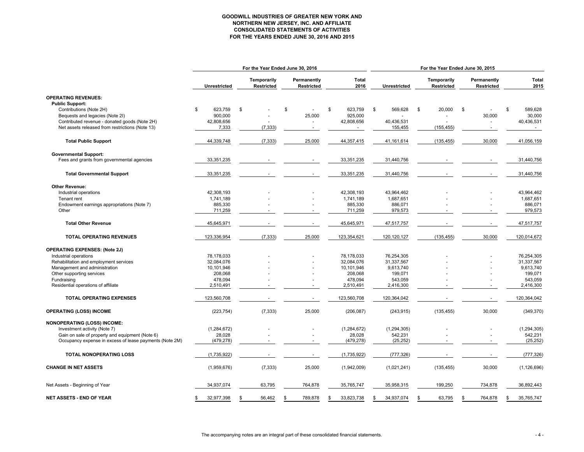#### **GOODWILL INDUSTRIES OF GREATER NEW YORK AND NORTHERN NEW JERSEY, INC. AND AFFILIATE CONSOLIDATED STATEMENTS OF ACTIVITIES FOR THE YEARS ENDED JUNE 30, 2016 AND 2015**

| <b>Total</b><br>Temporarily<br>Permanently<br>Temporarily<br>Permanently<br>Unrestricted<br><b>Restricted</b><br><b>Restricted</b><br>2016<br>Unrestricted<br><b>Restricted</b><br><b>Restricted</b><br><b>Public Support:</b><br>623,759<br>\$<br>\$<br>623,759<br>\$<br>569,628<br>20,000<br>\$<br>589,628<br>Contributions (Note 2H)<br>S.<br>\$<br>\$<br>\$<br>25,000<br>30,000<br>30,000<br>Bequests and legacies (Note 2I)<br>900,000<br>925,000<br>Contributed revenue - donated goods (Note 2H)<br>42,808,656<br>40,436,531<br>40,436,531<br>42,808,656<br>Net assets released from restrictions (Note 13)<br>7,333<br>(7, 333)<br>155,455<br>(155, 455)<br>$\blacksquare$<br>$\sim$<br>$\sim$<br>٠<br>44,339,748<br>(7, 333)<br>25,000<br>44,357,415<br>(135, 455)<br>30,000<br>41,056,159<br><b>Total Public Support</b><br>41,161,614<br><b>Governmental Support:</b><br>Fees and grants from governmental agencies<br>33,351,235<br>33,351,235<br>31,440,756<br>31,440,756<br>33,351,235<br>33,351,235<br>31,440,756<br>31,440,756<br><b>Total Governmental Support</b><br><b>Other Revenue:</b><br>42,308,193<br>42,308,193<br>43,964,462<br>43,964,462<br>Industrial operations<br>1,687,651<br>1,687,651<br>1,741,189<br>1,741,189<br>Tenant rent<br>Endowment earnings appropriations (Note 7)<br>885,330<br>885,330<br>886,071<br>886,071<br>Other<br>711,259<br>711,259<br>979,573<br>979,573<br><b>Total Other Revenue</b><br>45,645,971<br>45,645,971<br>47,517,757<br>47,517,757<br>(7, 333)<br>25,000<br><b>TOTAL OPERATING REVENUES</b><br>123,336,954<br>123,354,621<br>120, 120, 127<br>(135, 455)<br>30,000<br>120,014,672<br><b>OPERATING EXPENSES: (Note 2J)</b><br>78,178,033<br>78,178,033<br>76,254,305<br>76,254,305<br>Industrial operations<br>32,084,076<br>32,084,076<br>31,337,567<br>Rehabilitation and employment services<br>31,337,567<br>10,101,946<br>10,101,946<br>9,613,740<br>9,613,740<br>Management and administration<br>Other supporting services<br>208,068<br>208,068<br>199,071<br>199,071<br>478,094<br>478,094<br>543,059<br>543,059<br>Fundraising<br>Residential operations of affiliate<br>2,510,491<br>2,510,491<br>2,416,300<br>2,416,300<br><b>TOTAL OPERATING EXPENSES</b><br>123,560,708<br>123,560,708<br>120,364,042<br>120,364,042<br>$\omega$<br>25,000<br>(135, 455)<br>(223, 754)<br>(7, 333)<br>(206, 087)<br>(243, 915)<br>30,000<br>Investment activity (Note 7)<br>(1, 284, 672)<br>(1, 284, 672)<br>(1, 294, 305)<br>Gain on sale of property and equipment (Note 6)<br>28,028<br>28,028<br>542,231<br>542,231<br>Occupancy expense in excess of lease payments (Note 2M)<br>(479, 278)<br>(479, 278)<br>(25, 252)<br><b>TOTAL NONOPERATING LOSS</b><br>(1,735,922)<br>(1,735,922)<br>(777, 326)<br>(7, 333)<br>25,000<br>(1,942,009)<br>(135, 455)<br>30,000<br><b>CHANGE IN NET ASSETS</b><br>(1,959,676)<br>(1,021,241) |  | For the Year Ended June 30, 2016 | For the Year Ended June 30, 2015 |  |  |                      |  |
|------------------------------------------------------------------------------------------------------------------------------------------------------------------------------------------------------------------------------------------------------------------------------------------------------------------------------------------------------------------------------------------------------------------------------------------------------------------------------------------------------------------------------------------------------------------------------------------------------------------------------------------------------------------------------------------------------------------------------------------------------------------------------------------------------------------------------------------------------------------------------------------------------------------------------------------------------------------------------------------------------------------------------------------------------------------------------------------------------------------------------------------------------------------------------------------------------------------------------------------------------------------------------------------------------------------------------------------------------------------------------------------------------------------------------------------------------------------------------------------------------------------------------------------------------------------------------------------------------------------------------------------------------------------------------------------------------------------------------------------------------------------------------------------------------------------------------------------------------------------------------------------------------------------------------------------------------------------------------------------------------------------------------------------------------------------------------------------------------------------------------------------------------------------------------------------------------------------------------------------------------------------------------------------------------------------------------------------------------------------------------------------------------------------------------------------------------------------------------------------------------------------------------------------------------------------------------------------------------------------------------------------------------------------------------------------------------------------------------------------------------------------------------------------------------------------------------------------------------------------------------------------------------|--|----------------------------------|----------------------------------|--|--|----------------------|--|
| <b>OPERATING REVENUES:</b><br><b>OPERATING (LOSS) INCOME</b><br><b>NONOPERATING (LOSS) INCOME:</b>                                                                                                                                                                                                                                                                                                                                                                                                                                                                                                                                                                                                                                                                                                                                                                                                                                                                                                                                                                                                                                                                                                                                                                                                                                                                                                                                                                                                                                                                                                                                                                                                                                                                                                                                                                                                                                                                                                                                                                                                                                                                                                                                                                                                                                                                                                                                                                                                                                                                                                                                                                                                                                                                                                                                                                                                   |  |                                  |                                  |  |  | <b>Total</b><br>2015 |  |
|                                                                                                                                                                                                                                                                                                                                                                                                                                                                                                                                                                                                                                                                                                                                                                                                                                                                                                                                                                                                                                                                                                                                                                                                                                                                                                                                                                                                                                                                                                                                                                                                                                                                                                                                                                                                                                                                                                                                                                                                                                                                                                                                                                                                                                                                                                                                                                                                                                                                                                                                                                                                                                                                                                                                                                                                                                                                                                      |  |                                  |                                  |  |  |                      |  |
|                                                                                                                                                                                                                                                                                                                                                                                                                                                                                                                                                                                                                                                                                                                                                                                                                                                                                                                                                                                                                                                                                                                                                                                                                                                                                                                                                                                                                                                                                                                                                                                                                                                                                                                                                                                                                                                                                                                                                                                                                                                                                                                                                                                                                                                                                                                                                                                                                                                                                                                                                                                                                                                                                                                                                                                                                                                                                                      |  |                                  |                                  |  |  |                      |  |
|                                                                                                                                                                                                                                                                                                                                                                                                                                                                                                                                                                                                                                                                                                                                                                                                                                                                                                                                                                                                                                                                                                                                                                                                                                                                                                                                                                                                                                                                                                                                                                                                                                                                                                                                                                                                                                                                                                                                                                                                                                                                                                                                                                                                                                                                                                                                                                                                                                                                                                                                                                                                                                                                                                                                                                                                                                                                                                      |  |                                  |                                  |  |  |                      |  |
|                                                                                                                                                                                                                                                                                                                                                                                                                                                                                                                                                                                                                                                                                                                                                                                                                                                                                                                                                                                                                                                                                                                                                                                                                                                                                                                                                                                                                                                                                                                                                                                                                                                                                                                                                                                                                                                                                                                                                                                                                                                                                                                                                                                                                                                                                                                                                                                                                                                                                                                                                                                                                                                                                                                                                                                                                                                                                                      |  |                                  |                                  |  |  |                      |  |
|                                                                                                                                                                                                                                                                                                                                                                                                                                                                                                                                                                                                                                                                                                                                                                                                                                                                                                                                                                                                                                                                                                                                                                                                                                                                                                                                                                                                                                                                                                                                                                                                                                                                                                                                                                                                                                                                                                                                                                                                                                                                                                                                                                                                                                                                                                                                                                                                                                                                                                                                                                                                                                                                                                                                                                                                                                                                                                      |  |                                  |                                  |  |  |                      |  |
|                                                                                                                                                                                                                                                                                                                                                                                                                                                                                                                                                                                                                                                                                                                                                                                                                                                                                                                                                                                                                                                                                                                                                                                                                                                                                                                                                                                                                                                                                                                                                                                                                                                                                                                                                                                                                                                                                                                                                                                                                                                                                                                                                                                                                                                                                                                                                                                                                                                                                                                                                                                                                                                                                                                                                                                                                                                                                                      |  |                                  |                                  |  |  |                      |  |
|                                                                                                                                                                                                                                                                                                                                                                                                                                                                                                                                                                                                                                                                                                                                                                                                                                                                                                                                                                                                                                                                                                                                                                                                                                                                                                                                                                                                                                                                                                                                                                                                                                                                                                                                                                                                                                                                                                                                                                                                                                                                                                                                                                                                                                                                                                                                                                                                                                                                                                                                                                                                                                                                                                                                                                                                                                                                                                      |  |                                  |                                  |  |  |                      |  |
|                                                                                                                                                                                                                                                                                                                                                                                                                                                                                                                                                                                                                                                                                                                                                                                                                                                                                                                                                                                                                                                                                                                                                                                                                                                                                                                                                                                                                                                                                                                                                                                                                                                                                                                                                                                                                                                                                                                                                                                                                                                                                                                                                                                                                                                                                                                                                                                                                                                                                                                                                                                                                                                                                                                                                                                                                                                                                                      |  |                                  |                                  |  |  |                      |  |
|                                                                                                                                                                                                                                                                                                                                                                                                                                                                                                                                                                                                                                                                                                                                                                                                                                                                                                                                                                                                                                                                                                                                                                                                                                                                                                                                                                                                                                                                                                                                                                                                                                                                                                                                                                                                                                                                                                                                                                                                                                                                                                                                                                                                                                                                                                                                                                                                                                                                                                                                                                                                                                                                                                                                                                                                                                                                                                      |  |                                  |                                  |  |  |                      |  |
|                                                                                                                                                                                                                                                                                                                                                                                                                                                                                                                                                                                                                                                                                                                                                                                                                                                                                                                                                                                                                                                                                                                                                                                                                                                                                                                                                                                                                                                                                                                                                                                                                                                                                                                                                                                                                                                                                                                                                                                                                                                                                                                                                                                                                                                                                                                                                                                                                                                                                                                                                                                                                                                                                                                                                                                                                                                                                                      |  |                                  |                                  |  |  |                      |  |
|                                                                                                                                                                                                                                                                                                                                                                                                                                                                                                                                                                                                                                                                                                                                                                                                                                                                                                                                                                                                                                                                                                                                                                                                                                                                                                                                                                                                                                                                                                                                                                                                                                                                                                                                                                                                                                                                                                                                                                                                                                                                                                                                                                                                                                                                                                                                                                                                                                                                                                                                                                                                                                                                                                                                                                                                                                                                                                      |  |                                  |                                  |  |  |                      |  |
|                                                                                                                                                                                                                                                                                                                                                                                                                                                                                                                                                                                                                                                                                                                                                                                                                                                                                                                                                                                                                                                                                                                                                                                                                                                                                                                                                                                                                                                                                                                                                                                                                                                                                                                                                                                                                                                                                                                                                                                                                                                                                                                                                                                                                                                                                                                                                                                                                                                                                                                                                                                                                                                                                                                                                                                                                                                                                                      |  |                                  |                                  |  |  |                      |  |
|                                                                                                                                                                                                                                                                                                                                                                                                                                                                                                                                                                                                                                                                                                                                                                                                                                                                                                                                                                                                                                                                                                                                                                                                                                                                                                                                                                                                                                                                                                                                                                                                                                                                                                                                                                                                                                                                                                                                                                                                                                                                                                                                                                                                                                                                                                                                                                                                                                                                                                                                                                                                                                                                                                                                                                                                                                                                                                      |  |                                  |                                  |  |  |                      |  |
|                                                                                                                                                                                                                                                                                                                                                                                                                                                                                                                                                                                                                                                                                                                                                                                                                                                                                                                                                                                                                                                                                                                                                                                                                                                                                                                                                                                                                                                                                                                                                                                                                                                                                                                                                                                                                                                                                                                                                                                                                                                                                                                                                                                                                                                                                                                                                                                                                                                                                                                                                                                                                                                                                                                                                                                                                                                                                                      |  |                                  |                                  |  |  |                      |  |
|                                                                                                                                                                                                                                                                                                                                                                                                                                                                                                                                                                                                                                                                                                                                                                                                                                                                                                                                                                                                                                                                                                                                                                                                                                                                                                                                                                                                                                                                                                                                                                                                                                                                                                                                                                                                                                                                                                                                                                                                                                                                                                                                                                                                                                                                                                                                                                                                                                                                                                                                                                                                                                                                                                                                                                                                                                                                                                      |  |                                  |                                  |  |  |                      |  |
|                                                                                                                                                                                                                                                                                                                                                                                                                                                                                                                                                                                                                                                                                                                                                                                                                                                                                                                                                                                                                                                                                                                                                                                                                                                                                                                                                                                                                                                                                                                                                                                                                                                                                                                                                                                                                                                                                                                                                                                                                                                                                                                                                                                                                                                                                                                                                                                                                                                                                                                                                                                                                                                                                                                                                                                                                                                                                                      |  |                                  |                                  |  |  |                      |  |
|                                                                                                                                                                                                                                                                                                                                                                                                                                                                                                                                                                                                                                                                                                                                                                                                                                                                                                                                                                                                                                                                                                                                                                                                                                                                                                                                                                                                                                                                                                                                                                                                                                                                                                                                                                                                                                                                                                                                                                                                                                                                                                                                                                                                                                                                                                                                                                                                                                                                                                                                                                                                                                                                                                                                                                                                                                                                                                      |  |                                  |                                  |  |  |                      |  |
|                                                                                                                                                                                                                                                                                                                                                                                                                                                                                                                                                                                                                                                                                                                                                                                                                                                                                                                                                                                                                                                                                                                                                                                                                                                                                                                                                                                                                                                                                                                                                                                                                                                                                                                                                                                                                                                                                                                                                                                                                                                                                                                                                                                                                                                                                                                                                                                                                                                                                                                                                                                                                                                                                                                                                                                                                                                                                                      |  |                                  |                                  |  |  |                      |  |
|                                                                                                                                                                                                                                                                                                                                                                                                                                                                                                                                                                                                                                                                                                                                                                                                                                                                                                                                                                                                                                                                                                                                                                                                                                                                                                                                                                                                                                                                                                                                                                                                                                                                                                                                                                                                                                                                                                                                                                                                                                                                                                                                                                                                                                                                                                                                                                                                                                                                                                                                                                                                                                                                                                                                                                                                                                                                                                      |  |                                  |                                  |  |  |                      |  |
|                                                                                                                                                                                                                                                                                                                                                                                                                                                                                                                                                                                                                                                                                                                                                                                                                                                                                                                                                                                                                                                                                                                                                                                                                                                                                                                                                                                                                                                                                                                                                                                                                                                                                                                                                                                                                                                                                                                                                                                                                                                                                                                                                                                                                                                                                                                                                                                                                                                                                                                                                                                                                                                                                                                                                                                                                                                                                                      |  |                                  |                                  |  |  |                      |  |
|                                                                                                                                                                                                                                                                                                                                                                                                                                                                                                                                                                                                                                                                                                                                                                                                                                                                                                                                                                                                                                                                                                                                                                                                                                                                                                                                                                                                                                                                                                                                                                                                                                                                                                                                                                                                                                                                                                                                                                                                                                                                                                                                                                                                                                                                                                                                                                                                                                                                                                                                                                                                                                                                                                                                                                                                                                                                                                      |  |                                  |                                  |  |  |                      |  |
|                                                                                                                                                                                                                                                                                                                                                                                                                                                                                                                                                                                                                                                                                                                                                                                                                                                                                                                                                                                                                                                                                                                                                                                                                                                                                                                                                                                                                                                                                                                                                                                                                                                                                                                                                                                                                                                                                                                                                                                                                                                                                                                                                                                                                                                                                                                                                                                                                                                                                                                                                                                                                                                                                                                                                                                                                                                                                                      |  |                                  |                                  |  |  |                      |  |
|                                                                                                                                                                                                                                                                                                                                                                                                                                                                                                                                                                                                                                                                                                                                                                                                                                                                                                                                                                                                                                                                                                                                                                                                                                                                                                                                                                                                                                                                                                                                                                                                                                                                                                                                                                                                                                                                                                                                                                                                                                                                                                                                                                                                                                                                                                                                                                                                                                                                                                                                                                                                                                                                                                                                                                                                                                                                                                      |  |                                  |                                  |  |  |                      |  |
|                                                                                                                                                                                                                                                                                                                                                                                                                                                                                                                                                                                                                                                                                                                                                                                                                                                                                                                                                                                                                                                                                                                                                                                                                                                                                                                                                                                                                                                                                                                                                                                                                                                                                                                                                                                                                                                                                                                                                                                                                                                                                                                                                                                                                                                                                                                                                                                                                                                                                                                                                                                                                                                                                                                                                                                                                                                                                                      |  |                                  |                                  |  |  |                      |  |
|                                                                                                                                                                                                                                                                                                                                                                                                                                                                                                                                                                                                                                                                                                                                                                                                                                                                                                                                                                                                                                                                                                                                                                                                                                                                                                                                                                                                                                                                                                                                                                                                                                                                                                                                                                                                                                                                                                                                                                                                                                                                                                                                                                                                                                                                                                                                                                                                                                                                                                                                                                                                                                                                                                                                                                                                                                                                                                      |  |                                  |                                  |  |  |                      |  |
|                                                                                                                                                                                                                                                                                                                                                                                                                                                                                                                                                                                                                                                                                                                                                                                                                                                                                                                                                                                                                                                                                                                                                                                                                                                                                                                                                                                                                                                                                                                                                                                                                                                                                                                                                                                                                                                                                                                                                                                                                                                                                                                                                                                                                                                                                                                                                                                                                                                                                                                                                                                                                                                                                                                                                                                                                                                                                                      |  |                                  |                                  |  |  |                      |  |
|                                                                                                                                                                                                                                                                                                                                                                                                                                                                                                                                                                                                                                                                                                                                                                                                                                                                                                                                                                                                                                                                                                                                                                                                                                                                                                                                                                                                                                                                                                                                                                                                                                                                                                                                                                                                                                                                                                                                                                                                                                                                                                                                                                                                                                                                                                                                                                                                                                                                                                                                                                                                                                                                                                                                                                                                                                                                                                      |  |                                  |                                  |  |  | (349, 370)           |  |
|                                                                                                                                                                                                                                                                                                                                                                                                                                                                                                                                                                                                                                                                                                                                                                                                                                                                                                                                                                                                                                                                                                                                                                                                                                                                                                                                                                                                                                                                                                                                                                                                                                                                                                                                                                                                                                                                                                                                                                                                                                                                                                                                                                                                                                                                                                                                                                                                                                                                                                                                                                                                                                                                                                                                                                                                                                                                                                      |  |                                  |                                  |  |  |                      |  |
|                                                                                                                                                                                                                                                                                                                                                                                                                                                                                                                                                                                                                                                                                                                                                                                                                                                                                                                                                                                                                                                                                                                                                                                                                                                                                                                                                                                                                                                                                                                                                                                                                                                                                                                                                                                                                                                                                                                                                                                                                                                                                                                                                                                                                                                                                                                                                                                                                                                                                                                                                                                                                                                                                                                                                                                                                                                                                                      |  |                                  |                                  |  |  | (1, 294, 305)        |  |
|                                                                                                                                                                                                                                                                                                                                                                                                                                                                                                                                                                                                                                                                                                                                                                                                                                                                                                                                                                                                                                                                                                                                                                                                                                                                                                                                                                                                                                                                                                                                                                                                                                                                                                                                                                                                                                                                                                                                                                                                                                                                                                                                                                                                                                                                                                                                                                                                                                                                                                                                                                                                                                                                                                                                                                                                                                                                                                      |  |                                  |                                  |  |  |                      |  |
|                                                                                                                                                                                                                                                                                                                                                                                                                                                                                                                                                                                                                                                                                                                                                                                                                                                                                                                                                                                                                                                                                                                                                                                                                                                                                                                                                                                                                                                                                                                                                                                                                                                                                                                                                                                                                                                                                                                                                                                                                                                                                                                                                                                                                                                                                                                                                                                                                                                                                                                                                                                                                                                                                                                                                                                                                                                                                                      |  |                                  |                                  |  |  | (25, 252)            |  |
|                                                                                                                                                                                                                                                                                                                                                                                                                                                                                                                                                                                                                                                                                                                                                                                                                                                                                                                                                                                                                                                                                                                                                                                                                                                                                                                                                                                                                                                                                                                                                                                                                                                                                                                                                                                                                                                                                                                                                                                                                                                                                                                                                                                                                                                                                                                                                                                                                                                                                                                                                                                                                                                                                                                                                                                                                                                                                                      |  |                                  |                                  |  |  | (777, 326)           |  |
|                                                                                                                                                                                                                                                                                                                                                                                                                                                                                                                                                                                                                                                                                                                                                                                                                                                                                                                                                                                                                                                                                                                                                                                                                                                                                                                                                                                                                                                                                                                                                                                                                                                                                                                                                                                                                                                                                                                                                                                                                                                                                                                                                                                                                                                                                                                                                                                                                                                                                                                                                                                                                                                                                                                                                                                                                                                                                                      |  |                                  |                                  |  |  | (1, 126, 696)        |  |
| 34,937,074<br>63,795<br>764,878<br>35,765,747<br>35,958,315<br>199,250<br>734,878<br>36,892,443<br>Net Assets - Beginning of Year                                                                                                                                                                                                                                                                                                                                                                                                                                                                                                                                                                                                                                                                                                                                                                                                                                                                                                                                                                                                                                                                                                                                                                                                                                                                                                                                                                                                                                                                                                                                                                                                                                                                                                                                                                                                                                                                                                                                                                                                                                                                                                                                                                                                                                                                                                                                                                                                                                                                                                                                                                                                                                                                                                                                                                    |  |                                  |                                  |  |  |                      |  |
| NET ASSETS - END OF YEAR<br>32,977,398<br>56,462<br>789,878<br>33,823,738<br>34,937,074<br>63,795<br>764,878<br>35,765,747<br>£.<br>£.<br>£.<br>- \$<br>ዳ                                                                                                                                                                                                                                                                                                                                                                                                                                                                                                                                                                                                                                                                                                                                                                                                                                                                                                                                                                                                                                                                                                                                                                                                                                                                                                                                                                                                                                                                                                                                                                                                                                                                                                                                                                                                                                                                                                                                                                                                                                                                                                                                                                                                                                                                                                                                                                                                                                                                                                                                                                                                                                                                                                                                            |  |                                  |                                  |  |  |                      |  |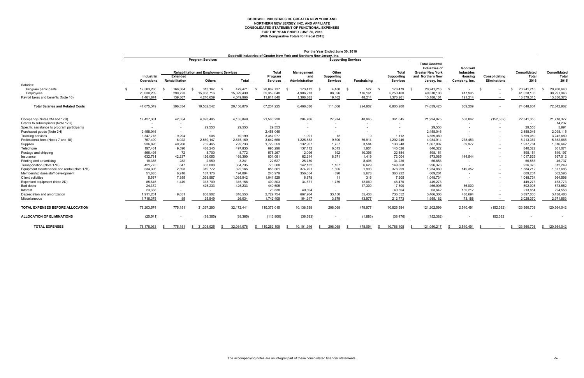#### **GOODWILL INDUSTRIES OF GREATER NEW YORK AND NORTHERN NEW JERSEY, INC. AND AFFILIATE CONSOLIDATED STATEMENT OF FUNCTIONAL EXPENSES FOR THE YEAR ENDED JUNE 30, 2016 (With Comparative Totals for Fiscal 2015)**

|                                             |                                                                       |                         |                          |                                               |                          |                         |                            | For the Year Ended June 30, 2016 |                          |                            |                                                              |                                          |                     |                              |                       |
|---------------------------------------------|-----------------------------------------------------------------------|-------------------------|--------------------------|-----------------------------------------------|--------------------------|-------------------------|----------------------------|----------------------------------|--------------------------|----------------------------|--------------------------------------------------------------|------------------------------------------|---------------------|------------------------------|-----------------------|
|                                             | Goodwill Industries of Greater New York and Northern New Jersey, Inc. |                         |                          |                                               |                          |                         |                            |                                  |                          |                            |                                                              |                                          |                     |                              |                       |
|                                             |                                                                       | <b>Program Services</b> |                          |                                               |                          |                         | <b>Supporting Services</b> |                                  |                          |                            | <b>Total Goodwill</b>                                        |                                          |                     |                              |                       |
|                                             | Industrial                                                            |                         | <b>Extended</b>          | <b>Rehabilitation and Employment Services</b> |                          | <b>Total</b><br>Program | Management<br>and          | Other<br>Supporting              |                          | <b>Total</b><br>Supporting | Industries of<br><b>Greater New York</b><br>and Northern New | Goodwill<br><b>Industries</b><br>Housing | Consolidating       | Consolidated<br><b>Total</b> | Consolidated<br>Total |
| Salaries:                                   |                                                                       | <b>Operations</b>       | Rehabilitation           | Others                                        | <b>Total</b>             | <b>Services</b>         | <b>Administration</b>      | <b>Services</b>                  | <b>Fundraising</b>       | <b>Services</b>            | Jersey, Inc.                                                 | Company, Inc.                            | <b>Eliminations</b> | 2016                         | 2015                  |
| Program participants                        |                                                                       | 19,583,266              | 166,304                  | 313.167                                       | 479,471<br>- 96          | 20,062,737              | 173.472<br>- \$            | 4,480                            | 527                      | 178.479                    | 20,241,216<br>- \$                                           | - \$                                     |                     | 20.241.216                   | 20,700,640            |
| Employees                                   |                                                                       | 20,030,209              | 290,723                  | 15,038,716                                    | 15,329,439               | 35,359,648              | 4,986,273                  | 88,026                           | 176,161                  | 5,250,460                  | 40,610,108                                                   | 417,995                                  |                     | 41,028,103                   | 38,291,946            |
| Payroll taxes and benefits (Note 16)        |                                                                       | 7.461.874               | 139,307                  | 4,210,659                                     | 4,349,966                | 11,811,840              | 1,308,885                  | 19,162                           | 48,214                   | 1,376,261                  | 13,188,101                                                   | 191,214                                  |                     | 13,379,315                   | 13,350,376            |
|                                             |                                                                       |                         |                          |                                               |                          |                         |                            |                                  |                          |                            |                                                              |                                          |                     |                              |                       |
| <b>Total Salaries and Related Costs</b>     |                                                                       | 47,075,349              | 596,334                  | 19,562,542                                    | 20,158,876               | 67,234,225              | 6,468,630                  | 111,668                          | 224,902                  | 6,805,200                  | 74,039,425                                                   | 609,209                                  |                     | 74,648,634                   | 72,342,962            |
| Occupancy (Notes 2M and 17B)                |                                                                       | 17,427,381              | 42,354                   | 4,093,495                                     | 4,135,849                | 21,563,230              | 284,706                    | 27.974                           | 48,965                   | 361,645                    | 21,924,875                                                   | 568,862                                  | (152, 382)          | 22,341,355                   | 21,718,377            |
| Grants to subrecipients (Note 17C)          |                                                                       |                         |                          | $\overline{\phantom{a}}$                      | $\sim$                   |                         |                            | $\overline{\phantom{0}}$         | $\sim$                   |                            |                                                              |                                          |                     |                              | 14,237                |
| Specific assistance to program participants |                                                                       |                         | $\sim$                   | 29,553                                        | 29,553                   | 29,553                  |                            |                                  | $\overline{\phantom{a}}$ |                            | 29.553                                                       | $\overline{\phantom{a}}$                 |                     | 29.553                       | 5,991                 |
| Purchased goods (Note 2H)                   |                                                                       | 2,458,046               |                          | $\sim$                                        | $\overline{\phantom{a}}$ | 2,458,046               |                            |                                  |                          |                            | 2,458,046                                                    |                                          |                     | 2,458,046                    | 2,098,115             |
| <b>Trucking services</b>                    |                                                                       | 3,347,778               | 9,294                    | 905                                           | 10,199                   | 3,357,977               | 1,091                      | 12                               | $\alpha$                 | 1.112                      | 3,359,089                                                    | $\sim$                                   |                     | 3,359,089                    | 3,242,680             |
| Professional fees (Notes 7 and 18)          |                                                                       | 767,499                 | 6,022                    | 2,869,147                                     | 2,875,169                | 3,642,668               | 1,225,832                  | 9,500                            | 56,914                   | 1,292,246                  | 4,934,914                                                    | 278,453                                  |                     | 5,213,367                    | 5,352,665             |
| Supplies                                    |                                                                       | 936.826                 | 40,268                   | 752,465                                       | 792,733                  | 1,729,559               | 132,907                    | 1.757                            | 3.584                    | 138,248                    | 1.867.807                                                    | 69,977                                   |                     | 1,937,784                    | 1,816,642             |
| Telephone                                   |                                                                       | 197,461                 | 9,590                    | 488,245                                       | 497,835                  | 695,296                 | 137,112                    | 6,013                            | 1,901                    | 145,026                    | 840,322                                                      | $\sim$                                   |                     | 840,322                      | 801,071               |
| Postage and shipping                        |                                                                       | 566.495                 | 72                       | 8.700                                         | 8.772                    | 575.267                 | 12,096                     | 392                              | 10.396                   | 22,884                     | 598,151                                                      | $\sim$                                   |                     | 598.151                      | 549,197               |
| Insurance                                   |                                                                       | 632,781                 | 42,237                   | 126,063                                       | 168,300                  | 801,081                 | 62,214                     | 8.371                            | 1,419                    | 72,004                     | 873,085                                                      | 144,544                                  |                     | 1,017,629                    | 997,012               |
| Printing and advertising                    |                                                                       | 19,386                  | 282                      | 2,959                                         | 3,241                    | 22,627                  | 25,730                     | $\sim$                           | 8,496                    | 34,226                     | 56,853                                                       | $\overline{\phantom{a}}$                 |                     | 56,853                       | 45,737                |
| Transportation (Note 17B)                   |                                                                       | 421,773                 | 847                      | 353,888                                       | 354,735                  | 776,508                 | 142,132                    | 1.107                            | 6,629                    | 149,868                    | 926,376                                                      | $\overline{\phantom{a}}$                 |                     | 926,376                      | 812,249               |
| Equipment maintenance and rental (Note 17B) |                                                                       | 534,396                 | 2,393                    | 319,772                                       | 322,165                  | 856,561                 | 374,701                    | 1,605                            | 1,993                    | 378,299                    | 1,234,860                                                    | 149,352                                  |                     | 1,384,212                    | 1,377,685             |
| Membership dues/staff development           |                                                                       | 51,885                  | 6,918                    | 187.176                                       | 194,094                  | 245,979                 | 356,654                    | 890                              | 5,678                    | 363,222                    | 609,201                                                      | $\overline{a}$                           |                     | 609,201                      | 562,595               |
| <b>Client activities</b>                    |                                                                       | 5,587                   | 7,355                    | 1,028,587                                     | 1,035,942                | 1,041,529               | 6,878                      | 11                               | 316                      | 7,205                      | 1,048,734                                                    |                                          |                     | 1,048,734                    | 964,598               |
| Expensed equipment (Note 2D)                |                                                                       | 85,645                  | 1.449                    | 313,709                                       | 315,158                  | 400,803                 | 34,671                     | 1.739                            | 12.060                   | 48.470                     | 449.273                                                      | $\sim$                                   |                     | 449,273                      | 453,773               |
| Bad debts                                   |                                                                       | 24,372                  | $\sim$                   | 425,233                                       | 425,233                  | 449,605                 | $\sim$                     | $\sim$                           | 17,300                   | 17,300                     | 466,905                                                      | 36,000                                   |                     | 502,905                      | 573,552               |
| Interest                                    |                                                                       | 23,338                  | $\overline{\phantom{a}}$ | $\sim$                                        | $\sim$                   | 23,338                  | 40.304                     | $\sim$                           | $\sim$                   | 40,304                     | 63,642                                                       | 150,212                                  |                     | 213,854                      | 224,558               |
| Depreciation and amortization               |                                                                       | 1,911,201               | 9,651                    | 808,902                                       | 818,553                  | 2,729,754               | 667,964                    | 33,150                           | 35,438                   | 736,552                    | 3,466,306                                                    | 430,694                                  |                     | 3,897,000                    | 3,438,483             |
| Miscellaneous                               |                                                                       | 1,716,375               | 85                       | 25,949                                        | 26,034                   | 1,742,409               | 164,917                    | 3,879                            | 43,977                   | 212,773                    | 1,955,182                                                    | 73,188                                   |                     | 2,028,370                    | 2,971,863             |
| <b>TOTAL EXPENSES BEFORE ALLOCATION</b>     |                                                                       | 78,203,574              | 775,151                  | 31,397,290                                    | 32,172,441               | 110,376,015             | 10,138,539                 | 208,068                          | 479,977                  | 10,826,584                 | 121,202,599                                                  | 2,510,491                                | (152, 382)          | 123,560,708                  | 120,364,042           |
| <b>ALLOCATION OF ELIMINATIONS</b>           |                                                                       | (25, 541)               |                          | (88, 365)                                     | (88, 365)                | (113,906)               | (36, 593)                  |                                  | (1,883)                  | (38, 476)                  | (152, 382)                                                   |                                          | 152,382             |                              |                       |
| <b>TOTAL EXPENSES</b>                       |                                                                       | 78,178,033              | 775,151                  | \$ 31,308,925                                 | 32,084,076               | 110,262,109<br>-SS      | 10,101,946                 | 208,068                          | 478,094                  | 10,788,108<br>S.           | 121,050,217                                                  | 2,510,491                                |                     | 123,560,708<br>- \$          | 120,364,042<br>-SS    |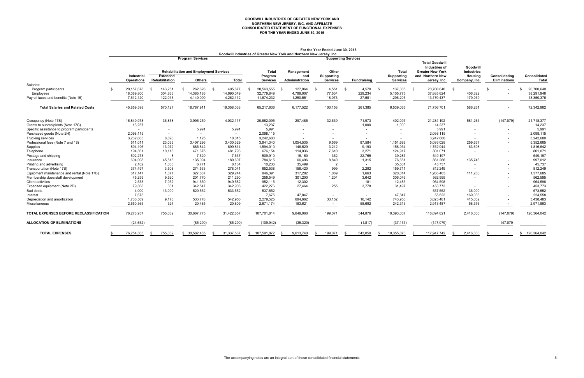#### **GOODWILL INDUSTRIES OF GREATER NEW YORK AND NORTHERN NEW JERSEY, INC. AND AFFILIATE CONSOLIDATED STATEMENT OF FUNCTIONAL EXPENSES FOR THE YEAR ENDED JUNE 30, 2015**

|                                             |                   |                 |                                               |                          |                         |                                                                       | For the Year Ended June 30, 2015 |                            |                     |                                                                                       |                                   |                     |                    |
|---------------------------------------------|-------------------|-----------------|-----------------------------------------------|--------------------------|-------------------------|-----------------------------------------------------------------------|----------------------------------|----------------------------|---------------------|---------------------------------------------------------------------------------------|-----------------------------------|---------------------|--------------------|
|                                             |                   |                 |                                               |                          |                         | Goodwill Industries of Greater New York and Northern New Jersey, Inc. |                                  |                            |                     |                                                                                       |                                   |                     |                    |
|                                             |                   |                 | <b>Program Services</b>                       |                          |                         |                                                                       |                                  | <b>Supporting Services</b> |                     |                                                                                       |                                   |                     |                    |
|                                             | Industrial        | <b>Extended</b> | <b>Rehabilitation and Employment Services</b> |                          | <b>Total</b><br>Program | Management<br>and                                                     | Other<br><b>Supporting</b>       |                            | Total<br>Supporting | <b>Total Goodwill</b><br>Industries of<br><b>Greater New York</b><br>and Northern New | Goodwill<br>Industries<br>Housing | Consolidating       | Consolidated       |
|                                             | <b>Operations</b> | Rehabilitation  | <b>Others</b>                                 | <b>Total</b>             | <b>Services</b>         | Administration                                                        | <b>Services</b>                  | <b>Fundraising</b>         | <b>Services</b>     | Jersey, Inc.                                                                          | Company, Inc.                     | <b>Eliminations</b> | Total              |
| Salaries:                                   |                   |                 |                                               |                          |                         |                                                                       |                                  |                            |                     |                                                                                       |                                   |                     |                    |
| Program participants                        | 20.157.678        | 143,251<br>-S   | 262,626                                       | 405,877<br>- \$          | 20,563,555              | 127.964<br>- \$                                                       | 4,551                            | 4.570<br>- \$              | 137.085<br>- \$     | 20,700,640<br>- \$                                                                    | <b>S</b>                          | ſ.                  | 20,700,640<br>- \$ |
| Employees                                   | 18,089,800        | 304,863         | 14,385,186                                    | 14,690,049               | 32,779,849              | 4,799,007                                                             | 77,534                           | 229,234                    | 5,105,775           | 37,885,624                                                                            | 406,322                           |                     | 38,291,946         |
| Payroll taxes and benefits (Note 16)        | 7,612,120         | 122,013         | 4,140,099                                     | 4,262,112                | 11,874,232              | 1,250,551                                                             | 18,073                           | 27,581                     | 1,296,205           | 13,170,437                                                                            | 179,939                           | $\sim$              | 13,350,376         |
| <b>Total Salaries and Related Costs</b>     | 45,859,598        | 570,127         | 18,787,911                                    | 19,358,038               | 65,217,636              | 6,177,522                                                             | 100,158                          | 261,385                    | 6,539,065           | 71,756,701                                                                            | 586,261                           |                     | 72,342,962         |
| Occupancy (Note 17B)                        | 16,849,978        | 36,858          | 3,995,259                                     | 4,032,117                | 20,882,095              | 297,485                                                               | 32,639                           | 71,973                     | 402,097             | 21,284,192                                                                            | 581,264                           | (147, 079)          | 21,718,377         |
| Grants to subrecipients (Note 17C)          | 13,237            |                 | $\sim$                                        | $\sim$                   | 13,237                  |                                                                       |                                  | 1,000                      | 1,000               | 14,237                                                                                | $\overline{\phantom{a}}$          | $\sim$              | 14,237             |
| Specific assistance to program participants | $\sim$            | $\sim$          | 5,991                                         | 5,991                    | 5,991                   |                                                                       |                                  | $\sim$                     |                     | 5,991                                                                                 | $\overline{a}$                    |                     | 5,991              |
| Purchased goods (Note 2H)                   | 2,098,115         | $\sim$          | $\sim$                                        | $\sim$                   | 2,098,115               |                                                                       | <b>м.</b>                        | $\overline{\phantom{0}}$   |                     | 2,098,115                                                                             |                                   |                     | 2,098,115          |
| <b>Trucking services</b>                    | 3,232,665         | 8,890           | 1,125                                         | 10,015                   | 3,242,680               |                                                                       | $\overline{\phantom{a}}$         | $\sim$                     |                     | 3,242,680                                                                             |                                   |                     | 3,242,680          |
| Professional fees (Note 7 and 18)           | 511,011           | 23,033          | 3,407,296                                     | 3,430,329                | 3,941,340               | 1,054,535                                                             | 9,569                            | 87,584                     | 1,151,688           | 5,093,028                                                                             | 259,637                           |                     | 5,352,665          |
| Supplies                                    | 894,196           | 13,972          | 685,842                                       | 699,814                  | 1,594,010               | 146,529                                                               | 3,212                            | 9,193                      | 158,934             | 1,752,944                                                                             | 63,698                            |                     | 1,816,642          |
| Telephone                                   | 194,361           | 10,118          | 471,675                                       | 481,793                  | 676.154                 | 114,036                                                               | 7,610                            | 3,271                      | 124,917             | 801,071                                                                               | $\overline{\phantom{a}}$          | $\sim$              | 801,071            |
| Postage and shipping                        | 502,273           | 8               | 7,629                                         | 7,637                    | 509,910                 | 16,160                                                                | 362                              | 22,765                     | 39,287              | 549,197                                                                               | $\overline{\phantom{a}}$          |                     | 549,197            |
| Insurance                                   | 604,008           | 45,513          | 135,094                                       | 180,607                  | 784,615                 | 66,496                                                                | 8,840                            | 1,315                      | 76,651              | 861,266                                                                               | 135,746                           |                     | 997,012            |
| Printing and advertising                    | 2,102             | 1,363           | 6.771                                         | 8,134                    | 10,236                  | 35,499                                                                | $\overline{2}$                   | $\sim$                     | 35,501              | 45,737                                                                                | $\overline{\phantom{a}}$          |                     | 45,737             |
| Transportation (Note 17B)                   | 374,497           | 3,508           | 274,533                                       | 278,041                  | 652,538                 | 156,420                                                               | 999                              | 2,292                      | 159,711             | 812,249                                                                               | $\sim$                            |                     | 812,249            |
| Equipment maintenance and rental (Note 17B) | 617,147           | 1,377           | 327,867                                       | 329,244                  | 946,391                 | 317,282                                                               | 1,069                            | 1,663                      | 320,014             | 1,266,405                                                                             | 111,280                           |                     | 1,377,685          |
| Membership dues/staff development           | 45,259            | 9,520           | 201,770                                       | 211,290                  | 256,549                 | 301,200                                                               | 1,204                            | 3,642                      | 306,046             | 562,595                                                                               | $\overline{\phantom{a}}$          |                     | 562,595            |
| <b>Client activities</b>                    | 2,533             | 7,932           | 941,650                                       | 949,582                  | 952,115                 | 12,302                                                                | $\sim$                           | 181                        | 12,483              | 964,598                                                                               | $\overline{\phantom{a}}$          |                     | 964,598            |
| Expensed equipment (Note 2D)                | 79,368            | 361             | 342,547                                       | 342,908                  | 422,276                 | 27,464                                                                | 255                              | 3,778                      | 31,497              | 453,773                                                                               |                                   |                     | 453,773            |
| <b>Bad debts</b>                            | 4,000             | 13,000          | 520,552                                       | 533,552                  | 537,552                 |                                                                       | $\sim$                           |                            |                     | 537,552                                                                               | 36,000                            |                     | 573,552            |
| Interest                                    | 7,675             |                 | $\sim$                                        | $\overline{\phantom{a}}$ | 7,675                   | 47,847                                                                | $\sim$                           | $\overline{\phantom{a}}$   | 47,847              | 55,522                                                                                | 169,036                           |                     | 224,558            |
| Depreciation and amortization               | 1,736,569         | 9,178           | 533,778                                       | 542,956                  | 2,279,525               | 694,662                                                               | 33,152                           | 16,142                     | 743,956             | 3,023,481                                                                             | 415,002                           |                     | 3,438,483          |
| Miscellaneous                               | 2,650,365         | 324             | 20,485                                        | 20,809                   | 2,671,174               | 183,621                                                               | $\sim$                           | 58,692                     | 242,313             | 2,913,487                                                                             | 58,376                            | $\sim$              | 2,971,863          |
| TOTAL EXPENSES BEFORE RECLASSIFICATION      | 76,278,957        | 755,082         | 30,667,775                                    | 31,422,857               | 107,701,814             | 9,649,060                                                             | 199,071                          | 544,876                    | 10,393,007          | 118,094,821                                                                           | 2,416,300                         | (147, 079)          | 120,364,042        |
| <b>ALLOCATION OF ELIMINATIONS</b>           | (24, 652)         |                 | (85, 290)                                     | (85, 290)                | (109, 942)              | (35, 320)                                                             |                                  | (1, 817)                   | (37, 137)           | (147, 079)                                                                            |                                   | 147,079             |                    |
| <b>TOTAL EXPENSES</b>                       | 76,254,305        | 755,082<br>- \$ | \$ 30,582,485                                 | 31,337,567<br>- \$       | 107,591,872<br>\$       | 9.613.740<br>- \$                                                     | 199,071<br>- \$                  | 543,059<br>- \$            | 10,355,870<br>\$    | 117,947,742                                                                           | 2,416,300<br>- \$                 | - \$                | 120,364,042<br>\$  |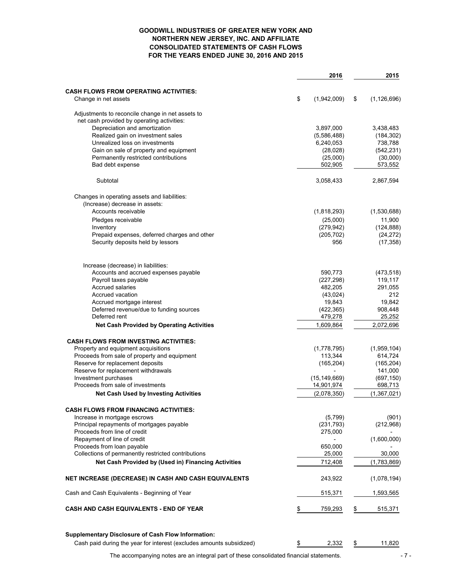#### **GOODWILL INDUSTRIES OF GREATER NEW YORK AND NORTHERN NEW JERSEY, INC. AND AFFILIATE CONSOLIDATED STATEMENTS OF CASH FLOWS FOR THE YEARS ENDED JUNE 30, 2016 AND 2015**

|                                                                      | 2016              | 2015                |
|----------------------------------------------------------------------|-------------------|---------------------|
|                                                                      |                   |                     |
| <b>CASH FLOWS FROM OPERATING ACTIVITIES:</b><br>Change in net assets | \$<br>(1,942,009) | \$<br>(1, 126, 696) |
| Adjustments to reconcile change in net assets to                     |                   |                     |
| net cash provided by operating activities:                           |                   |                     |
| Depreciation and amortization                                        | 3,897,000         | 3,438,483           |
| Realized gain on investment sales                                    | (5,586,488)       | (184, 302)          |
| Unrealized loss on investments                                       | 6,240,053         | 738,788             |
| Gain on sale of property and equipment                               | (28, 028)         | (542, 231)          |
| Permanently restricted contributions                                 | (25,000)          | (30,000)            |
| Bad debt expense                                                     | 502,905           | 573,552             |
| Subtotal                                                             | 3,058,433         | 2,867,594           |
| Changes in operating assets and liabilities:                         |                   |                     |
| (Increase) decrease in assets:                                       |                   |                     |
| Accounts receivable                                                  | (1,818,293)       | (1,530,688)         |
| Pledges receivable                                                   | (25,000)          | 11,900              |
| Inventory                                                            | (279, 942)        | (124, 888)          |
| Prepaid expenses, deferred charges and other                         | (205, 702)        | (24, 272)           |
| Security deposits held by lessors                                    | 956               | (17, 358)           |
| Increase (decrease) in liabilities:                                  |                   |                     |
| Accounts and accrued expenses payable                                | 590.773           | (473, 518)          |
| Payroll taxes payable                                                | (227, 298)        | 119,117             |
| Accrued salaries                                                     | 482,205           | 291,055             |
| Accrued vacation                                                     | (43, 024)         | 212                 |
| Accrued mortgage interest                                            | 19,843            | 19,842              |
| Deferred revenue/due to funding sources                              | (422, 365)        | 908,448             |
| Deferred rent                                                        | 479,278           | 25,252              |
| <b>Net Cash Provided by Operating Activities</b>                     | 1,609,864         | 2,072,696           |
| <b>CASH FLOWS FROM INVESTING ACTIVITIES:</b>                         |                   |                     |
| Property and equipment acquisitions                                  | (1,778,795)       | (1,959,104)         |
| Proceeds from sale of property and equipment                         | 113,344           | 614,724             |
| Reserve for replacement deposits                                     | (165, 204)        | (165, 204)          |
| Reserve for replacement withdrawals                                  |                   | 141,000             |
| Investment purchases                                                 | (15, 149, 669)    | (697, 150)          |
| Proceeds from sale of investments                                    | 14,901,974        | 698,713             |
| <b>Net Cash Used by Investing Activities</b>                         | (2,078,350)       | (1,367,021)         |
| <b>CASH FLOWS FROM FINANCING ACTIVITIES:</b>                         |                   |                     |
| Increase in mortgage escrows                                         | (5,799)           | (901)               |
| Principal repayments of mortgages payable                            | (231, 793)        | (212,968)           |
| Proceeds from line of credit                                         | 275,000           |                     |
| Repayment of line of credit                                          |                   | (1,600,000)         |
| Proceeds from loan payable                                           | 650,000           |                     |
| Collections of permanently restricted contributions                  | 25,000            | 30,000              |
| Net Cash Provided by (Used in) Financing Activities                  | 712,408           | (1,783,869)         |
| NET INCREASE (DECREASE) IN CASH AND CASH EQUIVALENTS                 | 243,922           | (1,078,194)         |
| Cash and Cash Equivalents - Beginning of Year                        | 515,371           | 1,593,565           |
| <b>CASH AND CASH EQUIVALENTS - END OF YEAR</b>                       | \$<br>759,293     | \$<br>515,371       |
| <b>Supplementary Disclosure of Cash Flow Information:</b>            |                   |                     |
| Cash paid during the year for interest (excludes amounts subsidized) | \$<br>2,332       | \$<br>11,820        |

The accompanying notes are an integral part of these consolidated financial statements.  $-7 -$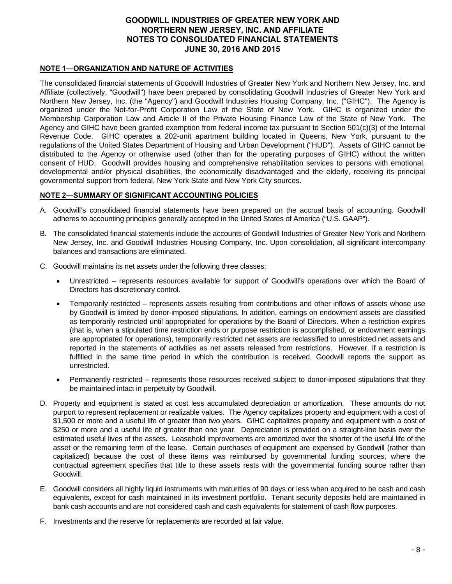### **NOTE 1—ORGANIZATION AND NATURE OF ACTIVITIES**

The consolidated financial statements of Goodwill Industries of Greater New York and Northern New Jersey, Inc. and Affiliate (collectively, "Goodwill") have been prepared by consolidating Goodwill Industries of Greater New York and Northern New Jersey, Inc. (the "Agency") and Goodwill Industries Housing Company, Inc. ("GIHC"). The Agency is organized under the Not-for-Profit Corporation Law of the State of New York. GIHC is organized under the Membership Corporation Law and Article II of the Private Housing Finance Law of the State of New York. The Agency and GIHC have been granted exemption from federal income tax pursuant to Section 501(c)(3) of the Internal Revenue Code. GIHC operates a 202-unit apartment building located in Queens, New York, pursuant to the regulations of the United States Department of Housing and Urban Development ("HUD"). Assets of GIHC cannot be distributed to the Agency or otherwise used (other than for the operating purposes of GIHC) without the written consent of HUD. Goodwill provides housing and comprehensive rehabilitation services to persons with emotional, developmental and/or physical disabilities, the economically disadvantaged and the elderly, receiving its principal governmental support from federal, New York State and New York City sources.

### **NOTE 2—SUMMARY OF SIGNIFICANT ACCOUNTING POLICIES**

- A. Goodwill's consolidated financial statements have been prepared on the accrual basis of accounting. Goodwill adheres to accounting principles generally accepted in the United States of America ("U.S. GAAP").
- B. The consolidated financial statements include the accounts of Goodwill Industries of Greater New York and Northern New Jersey, Inc. and Goodwill Industries Housing Company, Inc. Upon consolidation, all significant intercompany balances and transactions are eliminated.
- C. Goodwill maintains its net assets under the following three classes:
	- Unrestricted represents resources available for support of Goodwill's operations over which the Board of Directors has discretionary control.
	- Temporarily restricted represents assets resulting from contributions and other inflows of assets whose use by Goodwill is limited by donor-imposed stipulations. In addition, earnings on endowment assets are classified as temporarily restricted until appropriated for operations by the Board of Directors. When a restriction expires (that is, when a stipulated time restriction ends or purpose restriction is accomplished, or endowment earnings are appropriated for operations), temporarily restricted net assets are reclassified to unrestricted net assets and reported in the statements of activities as net assets released from restrictions. However, if a restriction is fulfilled in the same time period in which the contribution is received, Goodwill reports the support as unrestricted.
	- Permanently restricted represents those resources received subject to donor-imposed stipulations that they be maintained intact in perpetuity by Goodwill.
- D. Property and equipment is stated at cost less accumulated depreciation or amortization. These amounts do not purport to represent replacement or realizable values. The Agency capitalizes property and equipment with a cost of \$1,500 or more and a useful life of greater than two years. GIHC capitalizes property and equipment with a cost of \$250 or more and a useful life of greater than one year. Depreciation is provided on a straight-line basis over the estimated useful lives of the assets. Leasehold improvements are amortized over the shorter of the useful life of the asset or the remaining term of the lease. Certain purchases of equipment are expensed by Goodwill (rather than capitalized) because the cost of these items was reimbursed by governmental funding sources, where the contractual agreement specifies that title to these assets rests with the governmental funding source rather than Goodwill.
- E. Goodwill considers all highly liquid instruments with maturities of 90 days or less when acquired to be cash and cash equivalents, except for cash maintained in its investment portfolio. Tenant security deposits held are maintained in bank cash accounts and are not considered cash and cash equivalents for statement of cash flow purposes.
- F. Investments and the reserve for replacements are recorded at fair value.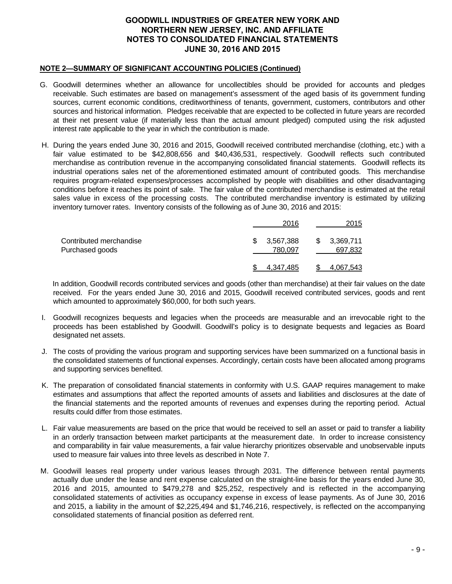### **NOTE 2—SUMMARY OF SIGNIFICANT ACCOUNTING POLICIES (Continued)**

- G. Goodwill determines whether an allowance for uncollectibles should be provided for accounts and pledges receivable. Such estimates are based on management's assessment of the aged basis of its government funding sources, current economic conditions, creditworthiness of tenants, government, customers, contributors and other sources and historical information. Pledges receivable that are expected to be collected in future years are recorded at their net present value (if materially less than the actual amount pledged) computed using the risk adjusted interest rate applicable to the year in which the contribution is made.
- H. During the years ended June 30, 2016 and 2015, Goodwill received contributed merchandise (clothing, etc.) with a fair value estimated to be \$42,808,656 and \$40,436,531, respectively. Goodwill reflects such contributed merchandise as contribution revenue in the accompanying consolidated financial statements. Goodwill reflects its industrial operations sales net of the aforementioned estimated amount of contributed goods. This merchandise requires program-related expenses/processes accomplished by people with disabilities and other disadvantaging conditions before it reaches its point of sale. The fair value of the contributed merchandise is estimated at the retail sales value in excess of the processing costs. The contributed merchandise inventory is estimated by utilizing inventory turnover rates. Inventory consists of the following as of June 30, 2016 and 2015:

|                                            |    | 2016                 | 2015                       |
|--------------------------------------------|----|----------------------|----------------------------|
| Contributed merchandise<br>Purchased goods | S. | 3,567,388<br>780,097 | \$<br>3,369,711<br>697,832 |
|                                            |    | 4.347.485            | 4,067,543                  |

In addition, Goodwill records contributed services and goods (other than merchandise) at their fair values on the date received. For the years ended June 30, 2016 and 2015, Goodwill received contributed services, goods and rent which amounted to approximately \$60,000, for both such years.

- I. Goodwill recognizes bequests and legacies when the proceeds are measurable and an irrevocable right to the proceeds has been established by Goodwill. Goodwill's policy is to designate bequests and legacies as Board designated net assets.
- J. The costs of providing the various program and supporting services have been summarized on a functional basis in the consolidated statements of functional expenses. Accordingly, certain costs have been allocated among programs and supporting services benefited.
- K. The preparation of consolidated financial statements in conformity with U.S. GAAP requires management to make estimates and assumptions that affect the reported amounts of assets and liabilities and disclosures at the date of the financial statements and the reported amounts of revenues and expenses during the reporting period. Actual results could differ from those estimates.
- L. Fair value measurements are based on the price that would be received to sell an asset or paid to transfer a liability in an orderly transaction between market participants at the measurement date. In order to increase consistency and comparability in fair value measurements, a fair value hierarchy prioritizes observable and unobservable inputs used to measure fair values into three levels as described in Note 7.
- M. Goodwill leases real property under various leases through 2031. The difference between rental payments actually due under the lease and rent expense calculated on the straight-line basis for the years ended June 30, 2016 and 2015, amounted to \$479,278 and \$25,252, respectively and is reflected in the accompanying consolidated statements of activities as occupancy expense in excess of lease payments. As of June 30, 2016 and 2015, a liability in the amount of \$2,225,494 and \$1,746,216, respectively, is reflected on the accompanying consolidated statements of financial position as deferred rent.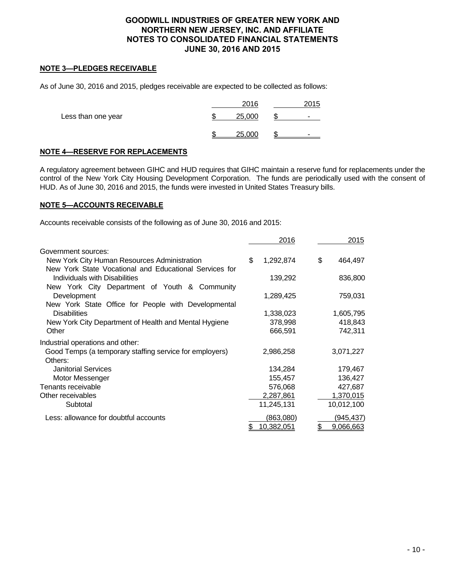### **NOTE 3—PLEDGES RECEIVABLE**

As of June 30, 2016 and 2015, pledges receivable are expected to be collected as follows:

|                    | 2016   |                          |
|--------------------|--------|--------------------------|
| Less than one year | 25,000 | $\overline{\phantom{a}}$ |
|                    | 25,000 | $\overline{\phantom{0}}$ |

### **NOTE 4—RESERVE FOR REPLACEMENTS**

A regulatory agreement between GIHC and HUD requires that GIHC maintain a reserve fund for replacements under the control of the New York City Housing Development Corporation. The funds are periodically used with the consent of HUD. As of June 30, 2016 and 2015, the funds were invested in United States Treasury bills.

### **NOTE 5—ACCOUNTS RECEIVABLE**

Accounts receivable consists of the following as of June 30, 2016 and 2015:

|                                                         | 2016            | 2015          |
|---------------------------------------------------------|-----------------|---------------|
| Government sources:                                     |                 |               |
| New York City Human Resources Administration            | \$<br>1,292,874 | \$<br>464,497 |
| New York State Vocational and Educational Services for  |                 |               |
| Individuals with Disabilities                           | 139,292         | 836,800       |
| New York City Department of Youth & Community           |                 |               |
| Development                                             | 1,289,425       | 759,031       |
| New York State Office for People with Developmental     |                 |               |
| <b>Disabilities</b>                                     | 1,338,023       | 1,605,795     |
| New York City Department of Health and Mental Hygiene   | 378,998         | 418,843       |
| Other                                                   | 666,591         | 742,311       |
| Industrial operations and other:                        |                 |               |
| Good Temps (a temporary staffing service for employers) | 2,986,258       | 3,071,227     |
| Others:                                                 |                 |               |
| <b>Janitorial Services</b>                              | 134,284         | 179,467       |
| Motor Messenger                                         | 155,457         | 136,427       |
| Tenants receivable                                      | 576,068         | 427,687       |
| Other receivables                                       | 2,287,861       | 1,370,015     |
| Subtotal                                                | 11,245,131      | 10,012,100    |
| Less: allowance for doubtful accounts                   | (863,080)       | (945,437)     |
|                                                         | 10,382,051      | 9,066,663     |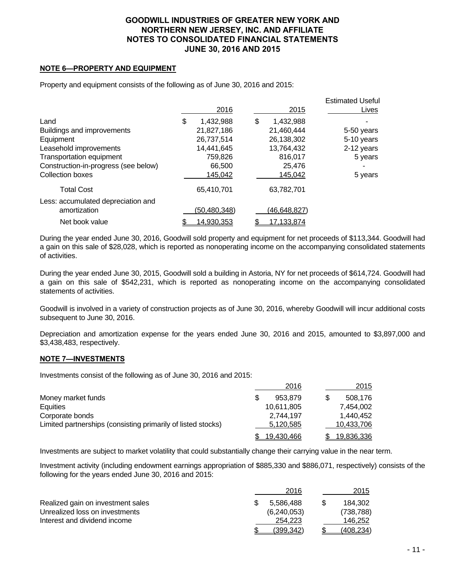### **NOTE 6—PROPERTY AND EQUIPMENT**

Property and equipment consists of the following as of June 30, 2016 and 2015:

|                                      | 2016            | 2015            | <b>Estimated Useful</b><br>Lives |
|--------------------------------------|-----------------|-----------------|----------------------------------|
| Land                                 | \$<br>1,432,988 | \$<br>1,432,988 |                                  |
| Buildings and improvements           | 21.827.186      | 21,460,444      | 5-50 years                       |
| Equipment                            | 26,737,514      | 26,138,302      | 5-10 years                       |
| Leasehold improvements               | 14,441,645      | 13,764,432      | 2-12 years                       |
| Transportation equipment             | 759,826         | 816,017         | 5 years                          |
| Construction-in-progress (see below) | 66,500          | 25,476          |                                  |
| <b>Collection boxes</b>              | 145,042         | 145,042         | 5 years                          |
| <b>Total Cost</b>                    | 65,410,701      | 63,782,701      |                                  |
| Less: accumulated depreciation and   |                 |                 |                                  |
| amortization                         | (50, 480, 348)  | (46,648,827)    |                                  |
| Net book value                       | 14,930,353      | 17,133,874      |                                  |

During the year ended June 30, 2016, Goodwill sold property and equipment for net proceeds of \$113,344. Goodwill had a gain on this sale of \$28,028, which is reported as nonoperating income on the accompanying consolidated statements of activities.

During the year ended June 30, 2015, Goodwill sold a building in Astoria, NY for net proceeds of \$614,724. Goodwill had a gain on this sale of \$542,231, which is reported as nonoperating income on the accompanying consolidated statements of activities.

Goodwill is involved in a variety of construction projects as of June 30, 2016, whereby Goodwill will incur additional costs subsequent to June 30, 2016.

Depreciation and amortization expense for the years ended June 30, 2016 and 2015, amounted to \$3,897,000 and \$3,438,483, respectively.

#### **NOTE 7—INVESTMENTS**

Investments consist of the following as of June 30, 2016 and 2015:

|                                                              | 2016              |   | 2015              |
|--------------------------------------------------------------|-------------------|---|-------------------|
| Money market funds                                           | 953.879           | S | 508,176           |
| Equities                                                     | 10,611,805        |   | 7,454,002         |
| Corporate bonds                                              | 2.744.197         |   | 1.440.452         |
| Limited partnerships (consisting primarily of listed stocks) | 5,120,585         |   | 10,433,706        |
|                                                              | <u>19,430,466</u> |   | <u>19,836,336</u> |

Investments are subject to market volatility that could substantially change their carrying value in the near term.

Investment activity (including endowment earnings appropriation of \$885,330 and \$886,071, respectively) consists of the following for the years ended June 30, 2016 and 2015:

|                                   | 2016        |     | 2015             |
|-----------------------------------|-------------|-----|------------------|
| Realized gain on investment sales | 5.586.488   | \$. | 184.302          |
| Unrealized loss on investments    | (6,240,053) |     | (738, 788)       |
| Interest and dividend income      | 254.223     |     | 146.252          |
|                                   | (399.342)   |     | <u>(408,234)</u> |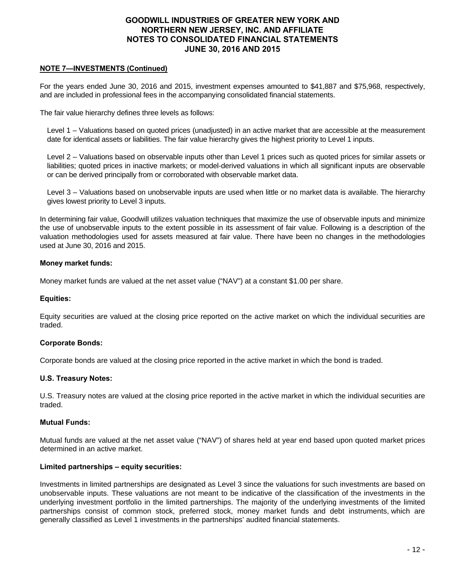### **NOTE 7—INVESTMENTS (Continued)**

For the years ended June 30, 2016 and 2015, investment expenses amounted to \$41,887 and \$75,968, respectively, and are included in professional fees in the accompanying consolidated financial statements.

The fair value hierarchy defines three levels as follows:

Level 1 – Valuations based on quoted prices (unadjusted) in an active market that are accessible at the measurement date for identical assets or liabilities. The fair value hierarchy gives the highest priority to Level 1 inputs.

Level 2 – Valuations based on observable inputs other than Level 1 prices such as quoted prices for similar assets or liabilities; quoted prices in inactive markets; or model-derived valuations in which all significant inputs are observable or can be derived principally from or corroborated with observable market data.

Level 3 – Valuations based on unobservable inputs are used when little or no market data is available. The hierarchy gives lowest priority to Level 3 inputs.

In determining fair value, Goodwill utilizes valuation techniques that maximize the use of observable inputs and minimize the use of unobservable inputs to the extent possible in its assessment of fair value. Following is a description of the valuation methodologies used for assets measured at fair value. There have been no changes in the methodologies used at June 30, 2016 and 2015.

### **Money market funds:**

Money market funds are valued at the net asset value ("NAV") at a constant \$1.00 per share.

#### **Equities:**

Equity securities are valued at the closing price reported on the active market on which the individual securities are traded.

#### **Corporate Bonds:**

Corporate bonds are valued at the closing price reported in the active market in which the bond is traded.

#### **U.S. Treasury Notes:**

U.S. Treasury notes are valued at the closing price reported in the active market in which the individual securities are traded.

### **Mutual Funds:**

Mutual funds are valued at the net asset value ("NAV") of shares held at year end based upon quoted market prices determined in an active market.

#### **Limited partnerships – equity securities:**

Investments in limited partnerships are designated as Level 3 since the valuations for such investments are based on unobservable inputs. These valuations are not meant to be indicative of the classification of the investments in the underlying investment portfolio in the limited partnerships. The majority of the underlying investments of the limited partnerships consist of common stock, preferred stock, money market funds and debt instruments, which are generally classified as Level 1 investments in the partnerships' audited financial statements.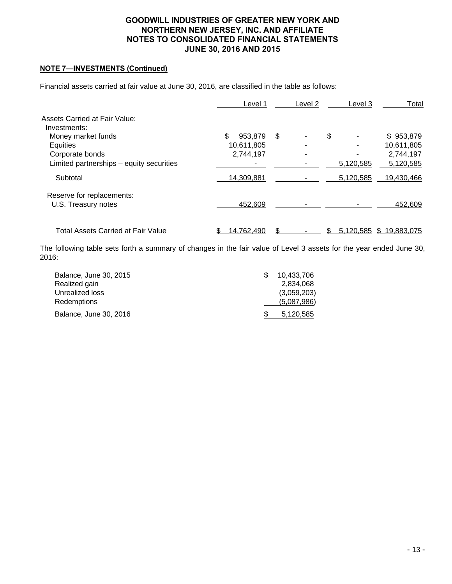# **NOTE 7—INVESTMENTS (Continued)**

Financial assets carried at fair value at June 30, 2016, are classified in the table as follows:

|                                          | Level 1       | Level 2 | Level 3   | Total            |
|------------------------------------------|---------------|---------|-----------|------------------|
| <b>Assets Carried at Fair Value:</b>     |               |         |           |                  |
| Investments:                             |               |         |           |                  |
| Money market funds                       | \$<br>953,879 | \$      | \$        | \$953,879        |
| Equities                                 | 10,611,805    |         |           | 10,611,805       |
| Corporate bonds                          | 2,744,197     |         |           | 2,744,197        |
| Limited partnerships - equity securities |               |         | 5,120,585 | 5,120,585        |
| Subtotal                                 | 14,309,881    |         | 5,120,585 | 19,430,466       |
| Reserve for replacements:                |               |         |           |                  |
| U.S. Treasury notes                      | 452,609       |         |           | 452,609          |
|                                          |               |         |           |                  |
| Total Assets Carried at Fair Value       | 14,762,490    | S       | 5,120,585 | 19,883,075<br>S. |

The following table sets forth a summary of changes in the fair value of Level 3 assets for the year ended June 30, 2016:

| Balance, June 30, 2015           | 10.433.706               |
|----------------------------------|--------------------------|
| Realized gain<br>Unrealized loss | 2.834.068<br>(3,059,203) |
| Redemptions                      | (5,087,986)              |
| Balance, June 30, 2016           | 5.120.585                |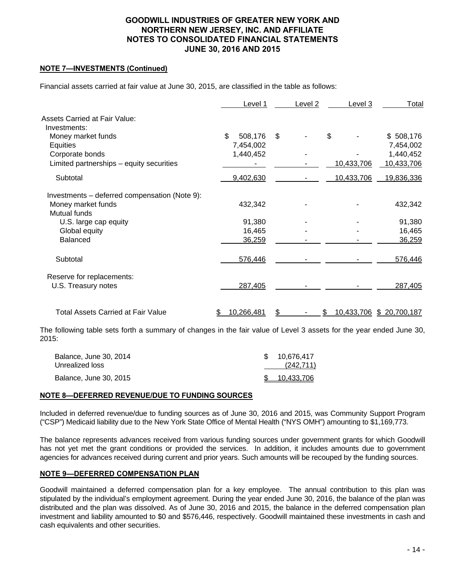# **NOTE 7—INVESTMENTS (Continued)**

Financial assets carried at fair value at June 30, 2015, are classified in the table as follows:

|                                               | Level 1          | Level 2 | Level 3    | Total        |
|-----------------------------------------------|------------------|---------|------------|--------------|
| Assets Carried at Fair Value:<br>Investments: |                  |         |            |              |
| Money market funds                            | \$<br>508,176    | \$      | \$         | \$508,176    |
| Equities                                      | 7,454,002        |         |            | 7,454,002    |
| Corporate bonds                               | 1,440,452        |         |            | 1,440,452    |
| Limited partnerships - equity securities      |                  |         | 10,433,706 | 10,433,706   |
| Subtotal                                      | 9,402,630        |         | 10,433,706 | 19,836,336   |
| Investments – deferred compensation (Note 9): |                  |         |            |              |
| Money market funds                            | 432,342          |         |            | 432,342      |
| Mutual funds                                  |                  |         |            |              |
| U.S. large cap equity                         | 91,380           |         |            | 91,380       |
| Global equity                                 | 16,465           |         |            | 16,465       |
| <b>Balanced</b>                               | 36,259           |         |            | 36,259       |
| Subtotal                                      | 576,446          |         |            | 576,446      |
| Reserve for replacements:                     |                  |         |            |              |
| U.S. Treasury notes                           | 287,405          |         |            | 287,405      |
|                                               |                  |         |            |              |
| <b>Total Assets Carried at Fair Value</b>     | 10,266,481<br>\$ | S       | 10,433,706 | \$20,700,187 |

The following table sets forth a summary of changes in the fair value of Level 3 assets for the year ended June 30,  $2015$ 

| Balance, June 30, 2014<br>Unrealized loss | \$ 10.676.417<br>(242, 711) |
|-------------------------------------------|-----------------------------|
| Balance, June 30, 2015                    | \$ 10.433.706               |

#### **NOTE 8—DEFERRED REVENUE/DUE TO FUNDING SOURCES**

Included in deferred revenue/due to funding sources as of June 30, 2016 and 2015, was Community Support Program ("CSP") Medicaid liability due to the New York State Office of Mental Health ("NYS OMH") amounting to \$1,169,773.

The balance represents advances received from various funding sources under government grants for which Goodwill has not yet met the grant conditions or provided the services. In addition, it includes amounts due to government agencies for advances received during current and prior years. Such amounts will be recouped by the funding sources.

#### **NOTE 9—DEFERRED COMPENSATION PLAN**

Goodwill maintained a deferred compensation plan for a key employee. The annual contribution to this plan was stipulated by the individual's employment agreement. During the year ended June 30, 2016, the balance of the plan was distributed and the plan was dissolved. As of June 30, 2016 and 2015, the balance in the deferred compensation plan investment and liability amounted to \$0 and \$576,446, respectively. Goodwill maintained these investments in cash and cash equivalents and other securities.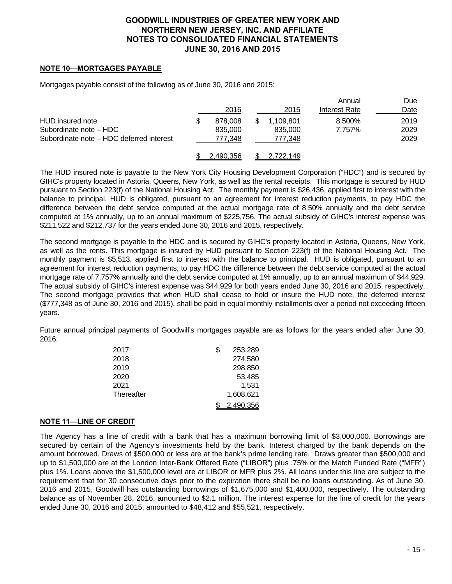### **NOTE 10—MORTGAGES PAYABLE**

Mortgages payable consist of the following as of June 30, 2016 and 2015:

|                                          |           |           | Annual        | <b>Due</b> |
|------------------------------------------|-----------|-----------|---------------|------------|
|                                          | 2016      | 2015      | Interest Rate | Date       |
| HUD insured note                         | 878,008   | 1.109.801 | 8.500%        | 2019       |
| Subordinate note - HDC                   | 835,000   | 835,000   | 7.757%        | 2029       |
| Subordinate note – HDC deferred interest | 777.348   | 777.348   |               | 2029       |
|                                          | 2,490,356 | 2.722.149 |               |            |

The HUD insured note is payable to the New York City Housing Development Corporation ("HDC") and is secured by GIHC's property located in Astoria, Queens, New York, as well as the rental receipts. This mortgage is secured by HUD pursuant to Section 223(f) of the National Housing Act. The monthly payment is \$26,436, applied first to interest with the balance to principal. HUD is obligated, pursuant to an agreement for interest reduction payments, to pay HDC the difference between the debt service computed at the actual mortgage rate of 8.50% annually and the debt service computed at 1% annually, up to an annual maximum of \$225,756. The actual subsidy of GIHC's interest expense was \$211,522 and \$212,737 for the years ended June 30, 2016 and 2015, respectively.

The second mortgage is payable to the HDC and is secured by GIHC's property located in Astoria, Queens, New York, as well as the rents. This mortgage is insured by HUD pursuant to Section 223(f) of the National Housing Act. The monthly payment is \$5,513, applied first to interest with the balance to principal. HUD is obligated, pursuant to an agreement for interest reduction payments, to pay HDC the difference between the debt service computed at the actual mortgage rate of 7.757% annually and the debt service computed at 1% annually, up to an annual maximum of \$44,929. The actual subsidy of GIHC's interest expense was \$44,929 for both years ended June 30, 2016 and 2015, respectively. The second mortgage provides that when HUD shall cease to hold or insure the HUD note, the deferred interest (\$777,348 as of June 30, 2016 and 2015), shall be paid in equal monthly installments over a period not exceeding fifteen years.

Future annual principal payments of Goodwill's mortgages payable are as follows for the years ended after June 30, 2016:

| 2017       | \$<br>253,289 |
|------------|---------------|
| 2018       | 274,580       |
| 2019       | 298,850       |
| 2020       | 53,485        |
| 2021       | 1.531         |
| Thereafter | 1,608,621     |
|            | .490.356      |

#### **NOTE 11—LINE OF CREDIT**

The Agency has a line of credit with a bank that has a maximum borrowing limit of \$3,000,000. Borrowings are secured by certain of the Agency's investments held by the bank. Interest charged by the bank depends on the amount borrowed. Draws of \$500,000 or less are at the bank's prime lending rate. Draws greater than \$500,000 and up to \$1,500,000 are at the London Inter-Bank Offered Rate ("LIBOR") plus .75% or the Match Funded Rate ("MFR") plus 1%. Loans above the \$1,500,000 level are at LIBOR or MFR plus 2%. All loans under this line are subject to the requirement that for 30 consecutive days prior to the expiration there shall be no loans outstanding. As of June 30, 2016 and 2015, Goodwill has outstanding borrowings of \$1,675,000 and \$1,400,000, respectively. The outstanding balance as of November 28, 2016, amounted to \$2.1 million. The interest expense for the line of credit for the years ended June 30, 2016 and 2015, amounted to \$48,412 and \$55,521, respectively.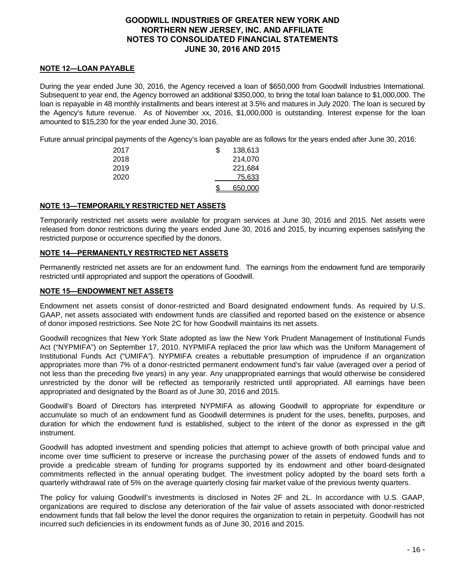### **NOTE 12—LOAN PAYABLE**

During the year ended June 30, 2016, the Agency received a loan of \$650,000 from Goodwill Industries International. Subsequent to year end, the Agency borrowed an additional \$350,000, to bring the total loan balance to \$1,000,000. The loan is repayable in 48 monthly installments and bears interest at 3.5% and matures in July 2020. The loan is secured by the Agency's future revenue. As of November xx, 2016, \$1,000,000 is outstanding. Interest expense for the loan amounted to \$15,230 for the year ended June 30, 2016.

Future annual principal payments of the Agency's loan payable are as follows for the years ended after June 30, 2016:

| 2017 | 138,613<br>S |
|------|--------------|
| 2018 | 214,070      |
| 2019 | 221,684      |
| 2020 | 75.633       |
|      | 650,000      |

#### **NOTE 13—TEMPORARILY RESTRICTED NET ASSETS**

Temporarily restricted net assets were available for program services at June 30, 2016 and 2015. Net assets were released from donor restrictions during the years ended June 30, 2016 and 2015, by incurring expenses satisfying the restricted purpose or occurrence specified by the donors.

### **NOTE 14—PERMANENTLY RESTRICTED NET ASSETS**

Permanently restricted net assets are for an endowment fund. The earnings from the endowment fund are temporarily restricted until appropriated and support the operations of Goodwill.

#### **NOTE 15—ENDOWMENT NET ASSETS**

Endowment net assets consist of donor-restricted and Board designated endowment funds. As required by U.S. GAAP, net assets associated with endowment funds are classified and reported based on the existence or absence of donor imposed restrictions. See Note 2C for how Goodwill maintains its net assets.

Goodwill recognizes that New York State adopted as law the New York Prudent Management of Institutional Funds Act ("NYPMIFA") on September 17, 2010. NYPMIFA replaced the prior law which was the Uniform Management of Institutional Funds Act ("UMIFA"). NYPMIFA creates a rebuttable presumption of imprudence if an organization appropriates more than 7% of a donor-restricted permanent endowment fund's fair value (averaged over a period of not less than the preceding five years) in any year. Any unappropriated earnings that would otherwise be considered unrestricted by the donor will be reflected as temporarily restricted until appropriated. All earnings have been appropriated and designated by the Board as of June 30, 2016 and 2015.

Goodwill's Board of Directors has interpreted NYPMIFA as allowing Goodwill to appropriate for expenditure or accumulate so much of an endowment fund as Goodwill determines is prudent for the uses, benefits, purposes, and duration for which the endowment fund is established, subject to the intent of the donor as expressed in the gift instrument.

Goodwill has adopted investment and spending policies that attempt to achieve growth of both principal value and income over time sufficient to preserve or increase the purchasing power of the assets of endowed funds and to provide a predicable stream of funding for programs supported by its endowment and other board-designated commitments reflected in the annual operating budget. The investment policy adopted by the board sets forth a quarterly withdrawal rate of 5% on the average quarterly closing fair market value of the previous twenty quarters.

The policy for valuing Goodwill's investments is disclosed in Notes 2F and 2L. In accordance with U.S. GAAP, organizations are required to disclose any deterioration of the fair value of assets associated with donor-restricted endowment funds that fall below the level the donor requires the organization to retain in perpetuity. Goodwill has not incurred such deficiencies in its endowment funds as of June 30, 2016 and 2015.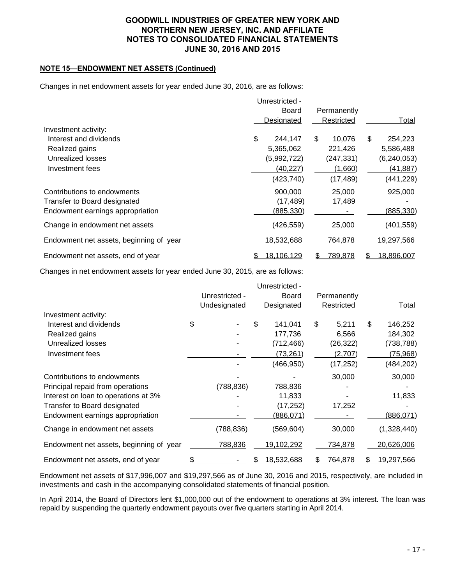## **NOTE 15—ENDOWMENT NET ASSETS (Continued)**

Changes in net endowment assets for year ended June 30, 2016, are as follows:

|                                         | Unrestricted -<br>Board<br>Designated | Permanently<br>Restricted | Total         |
|-----------------------------------------|---------------------------------------|---------------------------|---------------|
| Investment activity:                    |                                       |                           |               |
| Interest and dividends                  | \$<br>244,147                         | \$<br>10.076              | \$<br>254,223 |
| Realized gains                          | 5,365,062                             | 221,426                   | 5,586,488     |
| Unrealized losses                       | (5,992,722)                           | (247, 331)                | (6, 240, 053) |
| Investment fees                         | (40,227)                              | (1,660)                   | (41, 887)     |
|                                         | (423, 740)                            | (17, 489)                 | (441, 229)    |
| Contributions to endowments             | 900,000                               | 25,000                    | 925,000       |
| Transfer to Board designated            | (17, 489)                             | 17,489                    |               |
| Endowment earnings appropriation        | (885, 330)                            |                           | (885, 330)    |
| Change in endowment net assets          | (426, 559)                            | 25,000                    | (401, 559)    |
| Endowment net assets, beginning of year | 18,532,688                            | 764,878                   | 19,297,566    |
| Endowment net assets, end of year       | 18,106,129                            | 789,878                   | 18,896,007    |

Changes in net endowment assets for year ended June 30, 2015, are as follows:

|                                         | Unrestricted - |                                |    |            |    |             |    |                   |
|-----------------------------------------|----------------|--------------------------------|----|------------|----|-------------|----|-------------------|
|                                         |                | Unrestricted -<br><b>Board</b> |    |            |    | Permanently |    |                   |
|                                         |                | Undesignated                   |    | Designated |    | Restricted  |    | Total             |
| Investment activity:                    |                |                                |    |            |    |             |    |                   |
| Interest and dividends                  | \$             |                                | \$ | 141,041    | \$ | 5,211       | \$ | 146,252           |
| Realized gains                          |                |                                |    | 177,736    |    | 6,566       |    | 184,302           |
| Unrealized losses                       |                |                                |    | (712, 466) |    | (26, 322)   |    | (738,788)         |
| Investment fees                         |                |                                |    | (73, 261)  |    | (2,707)     |    | (75,968)          |
|                                         |                |                                |    | (466, 950) |    | (17, 252)   |    | (484, 202)        |
| Contributions to endowments             |                |                                |    |            |    | 30,000      |    | 30,000            |
| Principal repaid from operations        |                | (788, 836)                     |    | 788,836    |    |             |    |                   |
| Interest on loan to operations at 3%    |                |                                |    | 11,833     |    |             |    | 11,833            |
| Transfer to Board designated            |                |                                |    | (17, 252)  |    | 17,252      |    |                   |
| Endowment earnings appropriation        |                |                                |    | (886,071)  |    |             |    | <u>(886,071)</u>  |
| Change in endowment net assets          |                | (788, 836)                     |    | (569, 604) |    | 30,000      |    | (1,328,440)       |
| Endowment net assets, beginning of year |                | 788,836                        |    | 19,102,292 |    | 734,878     |    | 20,626,006        |
| Endowment net assets, end of year       |                |                                |    | 18,532,688 |    | 764,878     |    | <u>19,297,566</u> |

Endowment net assets of \$17,996,007 and \$19,297,566 as of June 30, 2016 and 2015, respectively, are included in investments and cash in the accompanying consolidated statements of financial position.

In April 2014, the Board of Directors lent \$1,000,000 out of the endowment to operations at 3% interest. The loan was repaid by suspending the quarterly endowment payouts over five quarters starting in April 2014.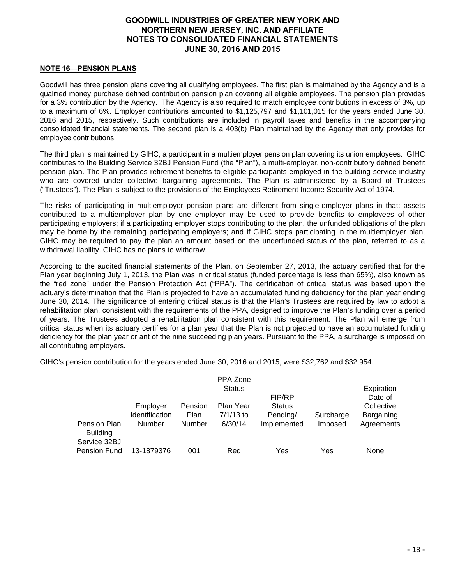### **NOTE 16—PENSION PLANS**

Goodwill has three pension plans covering all qualifying employees. The first plan is maintained by the Agency and is a qualified money purchase defined contribution pension plan covering all eligible employees. The pension plan provides for a 3% contribution by the Agency. The Agency is also required to match employee contributions in excess of 3%, up to a maximum of 6%. Employer contributions amounted to \$1,125,797 and \$1,101,015 for the years ended June 30, 2016 and 2015, respectively. Such contributions are included in payroll taxes and benefits in the accompanying consolidated financial statements. The second plan is a 403(b) Plan maintained by the Agency that only provides for employee contributions.

The third plan is maintained by GIHC, a participant in a multiemployer pension plan covering its union employees. GIHC contributes to the Building Service 32BJ Pension Fund (the "Plan"), a multi-employer, non-contributory defined benefit pension plan. The Plan provides retirement benefits to eligible participants employed in the building service industry who are covered under collective bargaining agreements. The Plan is administered by a Board of Trustees ("Trustees"). The Plan is subject to the provisions of the Employees Retirement Income Security Act of 1974.

The risks of participating in multiemployer pension plans are different from single-employer plans in that: assets contributed to a multiemployer plan by one employer may be used to provide benefits to employees of other participating employers; if a participating employer stops contributing to the plan, the unfunded obligations of the plan may be borne by the remaining participating employers; and if GIHC stops participating in the multiemployer plan, GIHC may be required to pay the plan an amount based on the underfunded status of the plan, referred to as a withdrawal liability. GIHC has no plans to withdraw.

According to the audited financial statements of the Plan, on September 27, 2013, the actuary certified that for the Plan year beginning July 1, 2013, the Plan was in critical status (funded percentage is less than 65%), also known as the "red zone" under the Pension Protection Act ("PPA"). The certification of critical status was based upon the actuary's determination that the Plan is projected to have an accumulated funding deficiency for the plan year ending June 30, 2014. The significance of entering critical status is that the Plan's Trustees are required by law to adopt a rehabilitation plan, consistent with the requirements of the PPA, designed to improve the Plan's funding over a period of years. The Trustees adopted a rehabilitation plan consistent with this requirement. The Plan will emerge from critical status when its actuary certifies for a plan year that the Plan is not projected to have an accumulated funding deficiency for the plan year or ant of the nine succeeding plan years. Pursuant to the PPA, a surcharge is imposed on all contributing employers.

GIHC's pension contribution for the years ended June 30, 2016 and 2015, were \$32,762 and \$32,954.

|                                 |                       |         | PPA Zone<br><b>Status</b> |               |           | Expiration |
|---------------------------------|-----------------------|---------|---------------------------|---------------|-----------|------------|
|                                 |                       |         |                           | FIP/RP        |           | Date of    |
|                                 | Employer              | Pension | Plan Year                 | <b>Status</b> |           | Collective |
|                                 | <b>Identification</b> | Plan    | $7/1/13$ to               | Pending/      | Surcharge | Bargaining |
| Pension Plan                    | Number                | Number  | 6/30/14                   | Implemented   | Imposed   | Agreements |
| <b>Building</b><br>Service 32BJ |                       |         |                           |               |           |            |
| Pension Fund                    | 13-1879376            | 001     | Red                       | Yes           | Yes       | None       |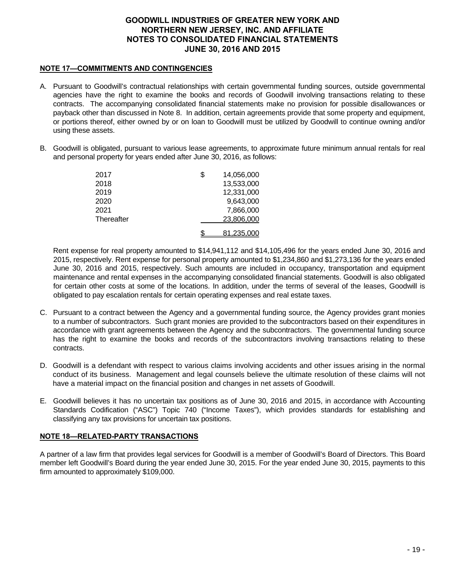### **NOTE 17—COMMITMENTS AND CONTINGENCIES**

- A. Pursuant to Goodwill's contractual relationships with certain governmental funding sources, outside governmental agencies have the right to examine the books and records of Goodwill involving transactions relating to these contracts. The accompanying consolidated financial statements make no provision for possible disallowances or payback other than discussed in Note 8. In addition, certain agreements provide that some property and equipment, or portions thereof, either owned by or on loan to Goodwill must be utilized by Goodwill to continue owning and/or using these assets.
- B. Goodwill is obligated, pursuant to various lease agreements, to approximate future minimum annual rentals for real and personal property for years ended after June 30, 2016, as follows:

| 2017       | \$<br>14,056,000 |
|------------|------------------|
| 2018       | 13,533,000       |
| 2019       | 12,331,000       |
| 2020       | 9,643,000        |
| 2021       | 7,866,000        |
| Thereafter | 23,806,000       |
|            | 81,235,000       |

Rent expense for real property amounted to \$14,941,112 and \$14,105,496 for the years ended June 30, 2016 and 2015, respectively. Rent expense for personal property amounted to \$1,234,860 and \$1,273,136 for the years ended June 30, 2016 and 2015, respectively. Such amounts are included in occupancy, transportation and equipment maintenance and rental expenses in the accompanying consolidated financial statements. Goodwill is also obligated for certain other costs at some of the locations. In addition, under the terms of several of the leases, Goodwill is obligated to pay escalation rentals for certain operating expenses and real estate taxes.

- C. Pursuant to a contract between the Agency and a governmental funding source, the Agency provides grant monies to a number of subcontractors. Such grant monies are provided to the subcontractors based on their expenditures in accordance with grant agreements between the Agency and the subcontractors. The governmental funding source has the right to examine the books and records of the subcontractors involving transactions relating to these contracts.
- D. Goodwill is a defendant with respect to various claims involving accidents and other issues arising in the normal conduct of its business. Management and legal counsels believe the ultimate resolution of these claims will not have a material impact on the financial position and changes in net assets of Goodwill.
- E. Goodwill believes it has no uncertain tax positions as of June 30, 2016 and 2015, in accordance with Accounting Standards Codification ("ASC") Topic 740 ("Income Taxes"), which provides standards for establishing and classifying any tax provisions for uncertain tax positions.

### **NOTE 18—RELATED-PARTY TRANSACTIONS**

A partner of a law firm that provides legal services for Goodwill is a member of Goodwill's Board of Directors. This Board member left Goodwill's Board during the year ended June 30, 2015. For the year ended June 30, 2015, payments to this firm amounted to approximately \$109,000.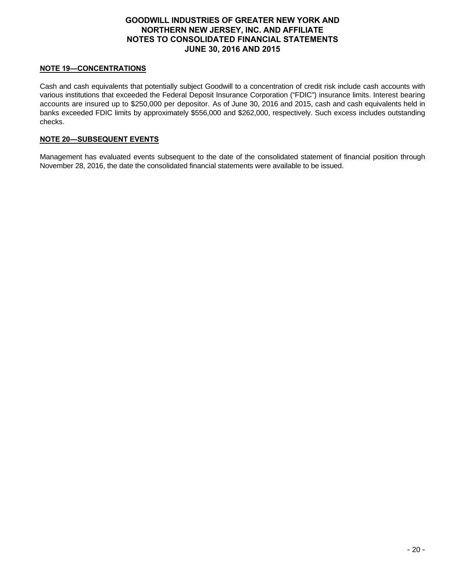### **NOTE 19―CONCENTRATIONS**

Cash and cash equivalents that potentially subject Goodwill to a concentration of credit risk include cash accounts with various institutions that exceeded the Federal Deposit Insurance Corporation ("FDIC") insurance limits. Interest bearing accounts are insured up to \$250,000 per depositor. As of June 30, 2016 and 2015, cash and cash equivalents held in banks exceeded FDIC limits by approximately \$556,000 and \$262,000, respectively. Such excess includes outstanding checks.

### **NOTE 20―SUBSEQUENT EVENTS**

Management has evaluated events subsequent to the date of the consolidated statement of financial position through November 28, 2016, the date the consolidated financial statements were available to be issued.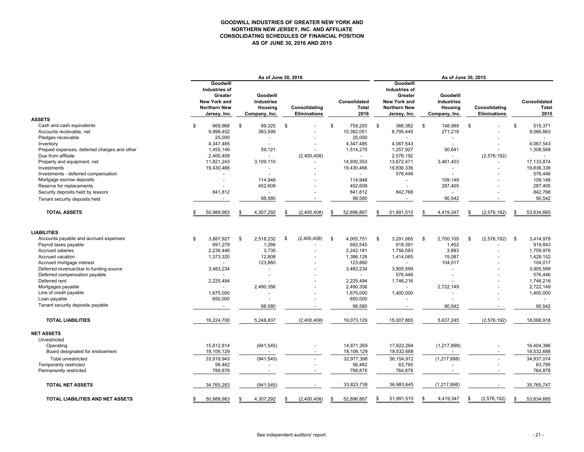#### **GOODWILL INDUSTRIES OF GREATER NEW YORK AND NORTHERN NEW JERSEY, INC. AND AFFILIATE CONSOLIDATING SCHEDULES OF FINANCIAL POSITION AS OF JUNE 30, 2016 AND 2015**

|                                              | As of June 30, 2016                                         |                                     |     |                                                           |     |                                      | As of June 30, 2015                  |      |                                                                                                    |    |                                                           |     |                                      |    |                                      |
|----------------------------------------------|-------------------------------------------------------------|-------------------------------------|-----|-----------------------------------------------------------|-----|--------------------------------------|--------------------------------------|------|----------------------------------------------------------------------------------------------------|----|-----------------------------------------------------------|-----|--------------------------------------|----|--------------------------------------|
|                                              | Industries of<br><b>New York and</b><br><b>Northern New</b> | Goodwill<br>Greater<br>Jersey, Inc. |     | Goodwill<br><b>Industries</b><br>Housing<br>Company, Inc. |     | Consolidating<br><b>Eliminations</b> | Consolidated<br><b>Total</b><br>2016 |      | Goodwill<br>Industries of<br>Greater<br><b>New York and</b><br><b>Northern New</b><br>Jersey, Inc. |    | Goodwill<br><b>Industries</b><br>Housing<br>Company, Inc. |     | Consolidating<br><b>Eliminations</b> |    | Consolidated<br><b>Total</b><br>2015 |
| <b>ASSETS</b><br>Cash and cash equivalents   | \$                                                          | 669,968                             | \$  | 89,325                                                    | \$  |                                      | \$<br>759,293                        | \$   | 366,382                                                                                            | \$ | 148,989                                                   | \$  |                                      | \$ | 515,371                              |
| Accounts receivable, net                     |                                                             | 9,998,452                           |     | 383,599                                                   |     |                                      | 10,382,051                           |      | 8,795,445                                                                                          |    | 271,218                                                   |     |                                      |    | 9,066,663                            |
| Pledges receivable                           |                                                             | 25,000                              |     | $\sim$                                                    |     |                                      | 25,000                               |      |                                                                                                    |    |                                                           |     |                                      |    |                                      |
| Inventory                                    |                                                             | 4,347,485                           |     |                                                           |     |                                      | 4,347,485                            |      | 4,067,543                                                                                          |    |                                                           |     |                                      |    | 4,067,543                            |
| Prepaid expenses, deferred charges and other |                                                             | 1,455,149                           |     | 59,121                                                    |     |                                      | 1,514,270                            |      | 1,257,927                                                                                          |    | 50,641                                                    |     |                                      |    | 1,308,568                            |
| Due from affiliate                           |                                                             | 2,400,408                           |     | $\overline{a}$                                            |     | (2,400,408)                          |                                      |      | 2,576,192                                                                                          |    |                                                           |     | (2,576,192)                          |    |                                      |
| Property and equipment, net                  |                                                             | 11,821,243                          |     | 3,109,110                                                 |     |                                      | 14,930,353                           |      | 13,672,471                                                                                         |    | 3,461,403                                                 |     |                                      |    | 17,133,874                           |
| Investments                                  |                                                             | 19,430,466                          |     |                                                           |     |                                      | 19,430,466                           |      | 19,836,336                                                                                         |    |                                                           |     | $\sim$                               |    | 19,836,336                           |
| Investments - deferred compensation          |                                                             |                                     |     |                                                           |     |                                      |                                      |      | 576,446                                                                                            |    |                                                           |     |                                      |    | 576,446                              |
| Mortgage escrow deposits                     |                                                             | ÷                                   |     | 114,948                                                   |     |                                      | 114,948                              |      | $\overline{\phantom{a}}$                                                                           |    | 109,149                                                   |     |                                      |    | 109,149                              |
| Reserve for replacements                     |                                                             |                                     |     | 452,609                                                   |     |                                      | 452,609                              |      |                                                                                                    |    | 287,405                                                   |     |                                      |    | 287,405                              |
| Security deposits held by lessors            |                                                             | 841,812                             |     | $\overline{a}$                                            |     |                                      | 841,812                              |      | 842,768                                                                                            |    | $\overline{a}$                                            |     |                                      |    | 842,768                              |
| Tenant security deposits held                |                                                             | $\sim$                              |     | 98,580                                                    |     |                                      | 98,580                               |      |                                                                                                    |    | 90,542                                                    |     |                                      |    | 90,542                               |
| <b>TOTAL ASSETS</b>                          | S                                                           | 50,989,983                          | \$. | 4,307,292                                                 |     | (2,400,408)                          | \$<br>52,896,867                     |      | 51,991,510                                                                                         |    | 4,419,347                                                 | \$. | (2,576,192)                          |    | 53,834,665                           |
| <b>LIABILITIES</b>                           |                                                             |                                     |     |                                                           |     |                                      |                                      |      |                                                                                                    |    |                                                           |     |                                      |    |                                      |
| Accounts payable and accrued expenses        | \$                                                          | 3,887,927                           | \$  | 2,518,232                                                 | \$  | (2,400,408)                          | \$<br>4,005,751                      | - \$ | 3,291,065                                                                                          | \$ | 2,700,105                                                 | \$  | (2,576,192)                          | \$ | 3,414,978                            |
| Payroll taxes payable                        |                                                             | 691,279                             |     | 1,266                                                     |     |                                      | 692,545                              |      | 918,391                                                                                            |    | 1,452                                                     |     |                                      |    | 919,843                              |
| Accrued salaries                             |                                                             | 2,238,446                           |     | 3,735                                                     |     |                                      | 2,242,181                            |      | 1,756,083                                                                                          |    | 3,893                                                     |     |                                      |    | 1,759,976                            |
| Accrued vacation                             |                                                             | 1,373,320                           |     | 12,808                                                    |     |                                      | 1,386,128                            |      | 1,414,065                                                                                          |    | 15,087                                                    |     |                                      |    | 1,429,152                            |
| Accrued mortgage interest                    |                                                             |                                     |     | 123,860                                                   |     |                                      | 123,860                              |      |                                                                                                    |    | 104,017                                                   |     |                                      |    | 104,017                              |
| Deferred revenue/due to funding source       |                                                             | 3,483,234                           |     |                                                           |     |                                      | 3,483,234                            |      | 3,905,599                                                                                          |    |                                                           |     |                                      |    | 3,905,599                            |
| Deferred compensation payable                |                                                             |                                     |     |                                                           |     |                                      |                                      |      | 576,446                                                                                            |    |                                                           |     |                                      |    | 576,446                              |
| Deferred rent                                |                                                             | 2,225,494                           |     |                                                           |     |                                      | 2,225,494                            |      | 1,746,216                                                                                          |    |                                                           |     |                                      |    | 1,746,216                            |
| Mortgages payable                            |                                                             |                                     |     | 2,490,356                                                 |     |                                      | 2,490,356                            |      |                                                                                                    |    | 2,722,149                                                 |     |                                      |    | 2,722,149                            |
| Line of credit payable                       |                                                             | 1,675,000                           |     |                                                           |     |                                      | 1,675,000                            |      | 1,400,000                                                                                          |    |                                                           |     |                                      |    | 1,400,000                            |
| Loan payable                                 |                                                             | 650,000                             |     |                                                           |     |                                      | 650,000                              |      |                                                                                                    |    |                                                           |     |                                      |    |                                      |
| Tenant security deposits payable             |                                                             |                                     |     | 98,580                                                    |     |                                      | 98,580                               |      |                                                                                                    |    | 90,542                                                    |     |                                      |    | 90,542                               |
| <b>TOTAL LIABILITIES</b>                     |                                                             | 16,224,700                          |     | 5,248,837                                                 |     | (2,400,408)                          | 19,073,129                           |      | 15,007,865                                                                                         |    | 5,637,245                                                 |     | (2,576,192)                          |    | 18,068,918                           |
| <b>NET ASSETS</b>                            |                                                             |                                     |     |                                                           |     |                                      |                                      |      |                                                                                                    |    |                                                           |     |                                      |    |                                      |
| Unrestricted                                 |                                                             |                                     |     |                                                           |     |                                      |                                      |      |                                                                                                    |    |                                                           |     |                                      |    |                                      |
| Operating                                    |                                                             | 15,812,814                          |     | (941, 545)                                                |     |                                      | 14,871,269                           |      | 17,622,284                                                                                         |    | (1, 217, 898)                                             |     | $\overline{a}$                       |    | 16,404,386                           |
| Board designated for endowment               |                                                             | 18,106,129                          |     |                                                           |     |                                      | 18,106,129                           |      | 18,532,688                                                                                         |    |                                                           |     |                                      |    | 18,532,688                           |
| Total unrestricted                           |                                                             | 33,918,943                          |     | (941, 545)                                                |     |                                      | 32,977,398                           |      | 36, 154, 972                                                                                       |    | (1, 217, 898)                                             |     | $\sim$                               |    | 34,937,074                           |
| Temporarily restricted                       |                                                             | 56,462                              |     |                                                           |     |                                      | 56,462                               |      | 63,795                                                                                             |    |                                                           |     |                                      |    | 63,795                               |
| Permanently restricted                       |                                                             | 789,878                             |     | $\overline{\phantom{a}}$                                  |     |                                      | 789,878                              |      | 764,878                                                                                            |    |                                                           |     |                                      |    | 764,878                              |
| <b>TOTAL NET ASSETS</b>                      |                                                             | 34,765,283                          |     | (941, 545)                                                |     |                                      | 33,823,738                           |      | 36,983,645                                                                                         |    | (1, 217, 898)                                             |     |                                      |    | 35,765,747                           |
| TOTAL LIABILITIES AND NET ASSETS             | \$                                                          | 50,989,983                          | \$. | 4,307,292                                                 | \$. | (2,400,408)                          | \$<br>52,896,867                     | -S   | 51,991,510                                                                                         | S  | 4,419,347                                                 | \$  | (2,576,192)                          | \$ | 53,834,665                           |